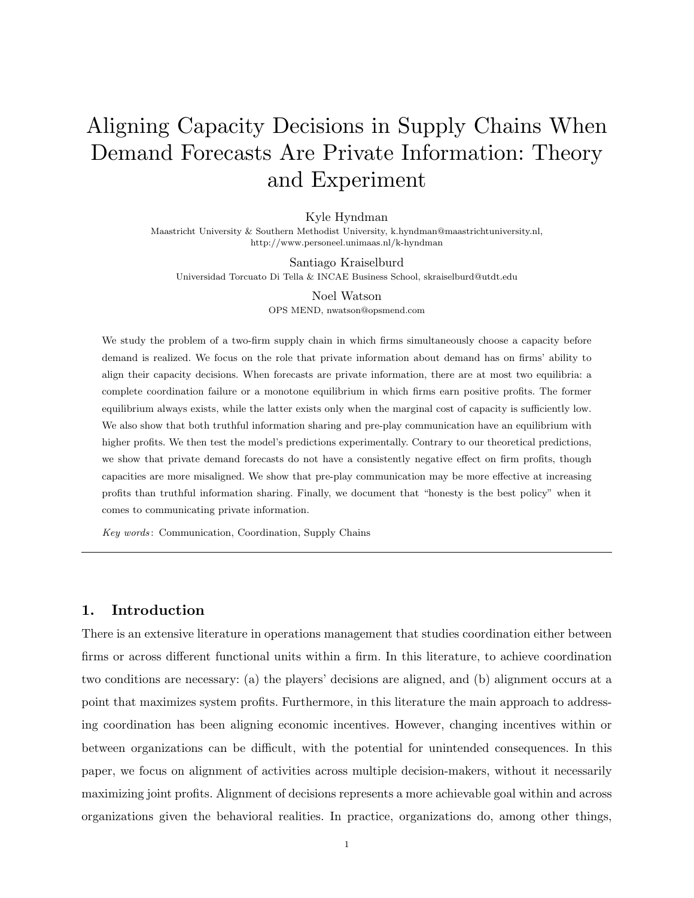# Aligning Capacity Decisions in Supply Chains When Demand Forecasts Are Private Information: Theory and Experiment

Kyle Hyndman

Maastricht University & Southern Methodist University, k.hyndman@maastrichtuniversity.nl, http://www.personeel.unimaas.nl/k-hyndman

Santiago Kraiselburd Universidad Torcuato Di Tella & INCAE Business School, skraiselburd@utdt.edu

> Noel Watson OPS MEND, nwatson@opsmend.com

We study the problem of a two-firm supply chain in which firms simultaneously choose a capacity before demand is realized. We focus on the role that private information about demand has on firms' ability to align their capacity decisions. When forecasts are private information, there are at most two equilibria: a complete coordination failure or a monotone equilibrium in which firms earn positive profits. The former equilibrium always exists, while the latter exists only when the marginal cost of capacity is sufficiently low. We also show that both truthful information sharing and pre-play communication have an equilibrium with higher profits. We then test the model's predictions experimentally. Contrary to our theoretical predictions, we show that private demand forecasts do not have a consistently negative effect on firm profits, though capacities are more misaligned. We show that pre-play communication may be more effective at increasing profits than truthful information sharing. Finally, we document that "honesty is the best policy" when it comes to communicating private information.

Key words : Communication, Coordination, Supply Chains

# 1. Introduction

There is an extensive literature in operations management that studies coordination either between firms or across different functional units within a firm. In this literature, to achieve coordination two conditions are necessary: (a) the players' decisions are aligned, and (b) alignment occurs at a point that maximizes system profits. Furthermore, in this literature the main approach to addressing coordination has been aligning economic incentives. However, changing incentives within or between organizations can be difficult, with the potential for unintended consequences. In this paper, we focus on alignment of activities across multiple decision-makers, without it necessarily maximizing joint profits. Alignment of decisions represents a more achievable goal within and across organizations given the behavioral realities. In practice, organizations do, among other things,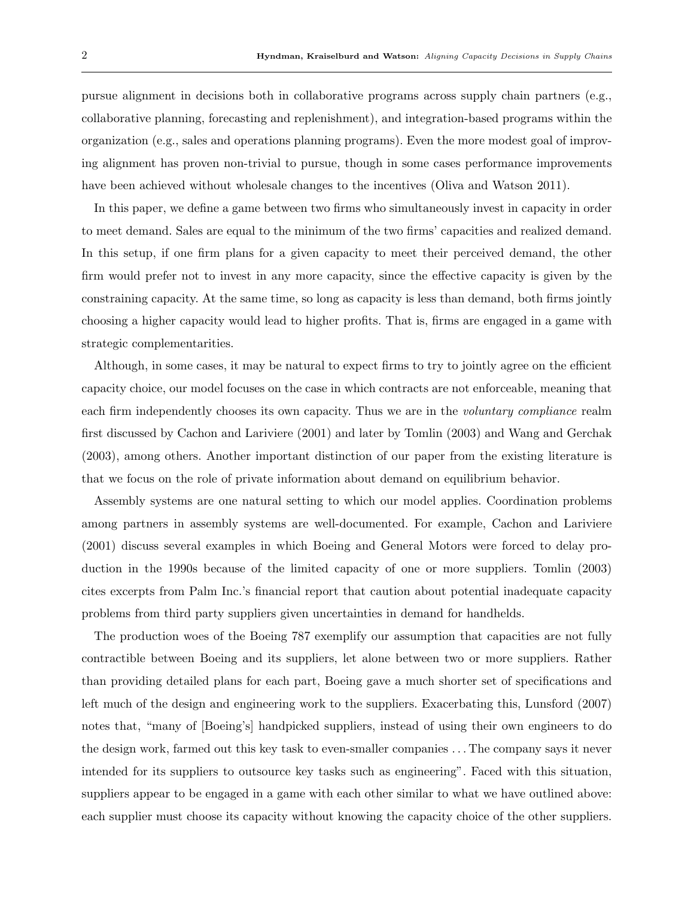pursue alignment in decisions both in collaborative programs across supply chain partners (e.g., collaborative planning, forecasting and replenishment), and integration-based programs within the organization (e.g., sales and operations planning programs). Even the more modest goal of improving alignment has proven non-trivial to pursue, though in some cases performance improvements have been achieved without wholesale changes to the incentives (Oliva and Watson 2011).

In this paper, we define a game between two firms who simultaneously invest in capacity in order to meet demand. Sales are equal to the minimum of the two firms' capacities and realized demand. In this setup, if one firm plans for a given capacity to meet their perceived demand, the other firm would prefer not to invest in any more capacity, since the effective capacity is given by the constraining capacity. At the same time, so long as capacity is less than demand, both firms jointly choosing a higher capacity would lead to higher profits. That is, firms are engaged in a game with strategic complementarities.

Although, in some cases, it may be natural to expect firms to try to jointly agree on the efficient capacity choice, our model focuses on the case in which contracts are not enforceable, meaning that each firm independently chooses its own capacity. Thus we are in the *voluntary compliance* realm first discussed by Cachon and Lariviere (2001) and later by Tomlin (2003) and Wang and Gerchak (2003), among others. Another important distinction of our paper from the existing literature is that we focus on the role of private information about demand on equilibrium behavior.

Assembly systems are one natural setting to which our model applies. Coordination problems among partners in assembly systems are well-documented. For example, Cachon and Lariviere (2001) discuss several examples in which Boeing and General Motors were forced to delay production in the 1990s because of the limited capacity of one or more suppliers. Tomlin (2003) cites excerpts from Palm Inc.'s financial report that caution about potential inadequate capacity problems from third party suppliers given uncertainties in demand for handhelds.

The production woes of the Boeing 787 exemplify our assumption that capacities are not fully contractible between Boeing and its suppliers, let alone between two or more suppliers. Rather than providing detailed plans for each part, Boeing gave a much shorter set of specifications and left much of the design and engineering work to the suppliers. Exacerbating this, Lunsford (2007) notes that, "many of [Boeing's] handpicked suppliers, instead of using their own engineers to do the design work, farmed out this key task to even-smaller companies . . . The company says it never intended for its suppliers to outsource key tasks such as engineering". Faced with this situation, suppliers appear to be engaged in a game with each other similar to what we have outlined above: each supplier must choose its capacity without knowing the capacity choice of the other suppliers.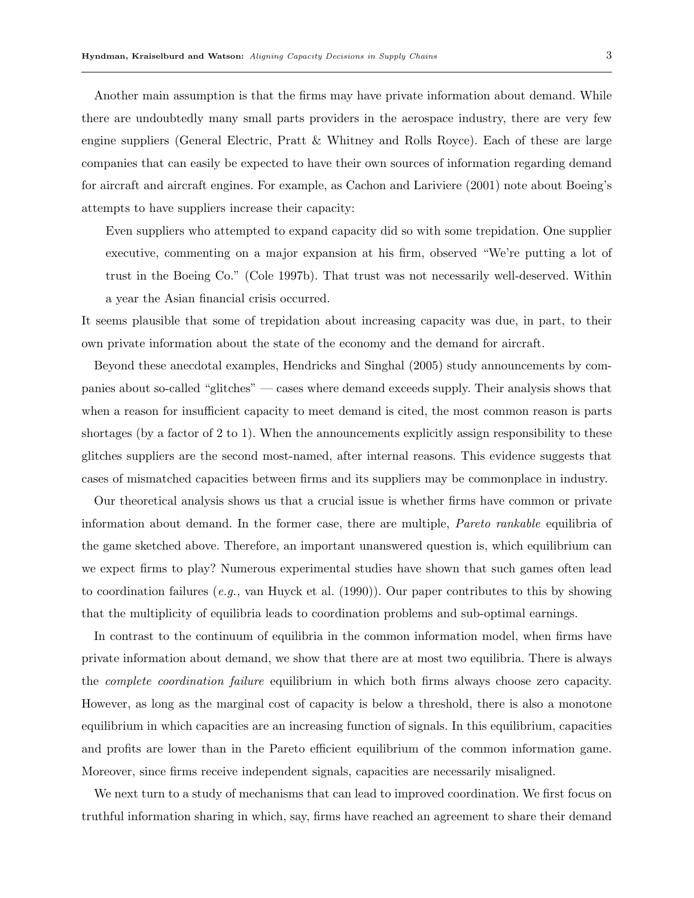Another main assumption is that the firms may have private information about demand. While there are undoubtedly many small parts providers in the aerospace industry, there are very few engine suppliers (General Electric, Pratt & Whitney and Rolls Royce). Each of these are large companies that can easily be expected to have their own sources of information regarding demand for aircraft and aircraft engines. For example, as Cachon and Lariviere (2001) note about Boeing's attempts to have suppliers increase their capacity:

Even suppliers who attempted to expand capacity did so with some trepidation. One supplier executive, commenting on a major expansion at his firm, observed "We're putting a lot of trust in the Boeing Co." (Cole 1997b). That trust was not necessarily well-deserved. Within a year the Asian financial crisis occurred.

It seems plausible that some of trepidation about increasing capacity was due, in part, to their own private information about the state of the economy and the demand for aircraft.

Beyond these anecdotal examples, Hendricks and Singhal (2005) study announcements by companies about so-called "glitches" — cases where demand exceeds supply. Their analysis shows that when a reason for insufficient capacity to meet demand is cited, the most common reason is parts shortages (by a factor of 2 to 1). When the announcements explicitly assign responsibility to these glitches suppliers are the second most-named, after internal reasons. This evidence suggests that cases of mismatched capacities between firms and its suppliers may be commonplace in industry.

Our theoretical analysis shows us that a crucial issue is whether firms have common or private information about demand. In the former case, there are multiple, Pareto rankable equilibria of the game sketched above. Therefore, an important unanswered question is, which equilibrium can we expect firms to play? Numerous experimental studies have shown that such games often lead to coordination failures (e.g., van Huyck et al. (1990)). Our paper contributes to this by showing that the multiplicity of equilibria leads to coordination problems and sub-optimal earnings.

In contrast to the continuum of equilibria in the common information model, when firms have private information about demand, we show that there are at most two equilibria. There is always the complete coordination failure equilibrium in which both firms always choose zero capacity. However, as long as the marginal cost of capacity is below a threshold, there is also a monotone equilibrium in which capacities are an increasing function of signals. In this equilibrium, capacities and profits are lower than in the Pareto efficient equilibrium of the common information game. Moreover, since firms receive independent signals, capacities are necessarily misaligned.

We next turn to a study of mechanisms that can lead to improved coordination. We first focus on truthful information sharing in which, say, firms have reached an agreement to share their demand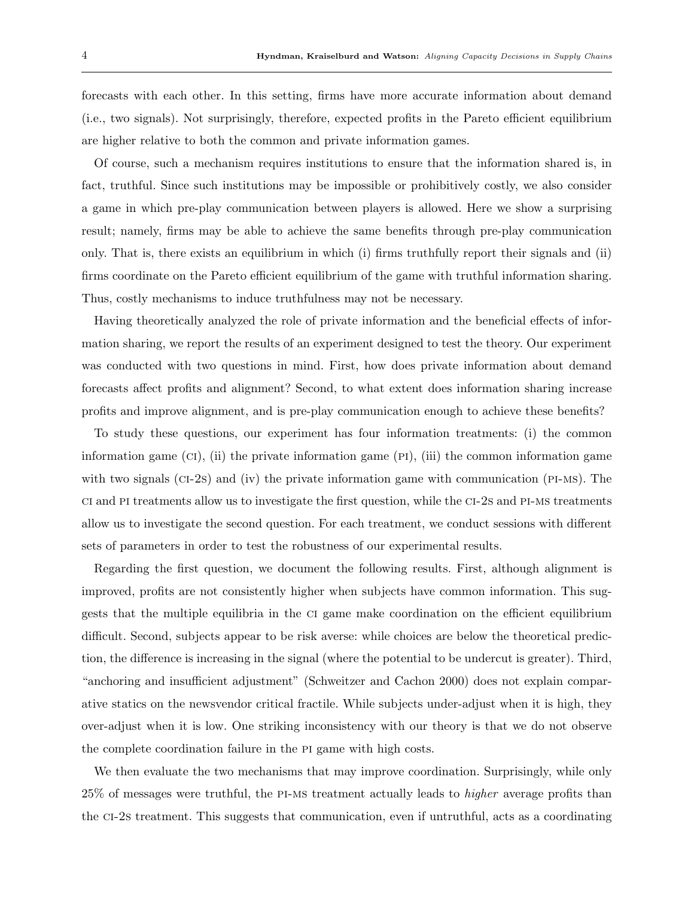forecasts with each other. In this setting, firms have more accurate information about demand (i.e., two signals). Not surprisingly, therefore, expected profits in the Pareto efficient equilibrium are higher relative to both the common and private information games.

Of course, such a mechanism requires institutions to ensure that the information shared is, in fact, truthful. Since such institutions may be impossible or prohibitively costly, we also consider a game in which pre-play communication between players is allowed. Here we show a surprising result; namely, firms may be able to achieve the same benefits through pre-play communication only. That is, there exists an equilibrium in which (i) firms truthfully report their signals and (ii) firms coordinate on the Pareto efficient equilibrium of the game with truthful information sharing. Thus, costly mechanisms to induce truthfulness may not be necessary.

Having theoretically analyzed the role of private information and the beneficial effects of information sharing, we report the results of an experiment designed to test the theory. Our experiment was conducted with two questions in mind. First, how does private information about demand forecasts affect profits and alignment? Second, to what extent does information sharing increase profits and improve alignment, and is pre-play communication enough to achieve these benefits?

To study these questions, our experiment has four information treatments: (i) the common information game  $(CI)$ , (ii) the private information game  $(PI)$ , (iii) the common information game with two signals ( $CI-2s$ ) and (iv) the private information game with communication ( $PI-MS$ ). The ci and pi treatments allow us to investigate the first question, while the ci-2s and pi-ms treatments allow us to investigate the second question. For each treatment, we conduct sessions with different sets of parameters in order to test the robustness of our experimental results.

Regarding the first question, we document the following results. First, although alignment is improved, profits are not consistently higher when subjects have common information. This suggests that the multiple equilibria in the ci game make coordination on the efficient equilibrium difficult. Second, subjects appear to be risk averse: while choices are below the theoretical prediction, the difference is increasing in the signal (where the potential to be undercut is greater). Third, "anchoring and insufficient adjustment" (Schweitzer and Cachon 2000) does not explain comparative statics on the newsvendor critical fractile. While subjects under-adjust when it is high, they over-adjust when it is low. One striking inconsistency with our theory is that we do not observe the complete coordination failure in the pi game with high costs.

We then evaluate the two mechanisms that may improve coordination. Surprisingly, while only 25% of messages were truthful, the pi-ms treatment actually leads to higher average profits than the ci-2s treatment. This suggests that communication, even if untruthful, acts as a coordinating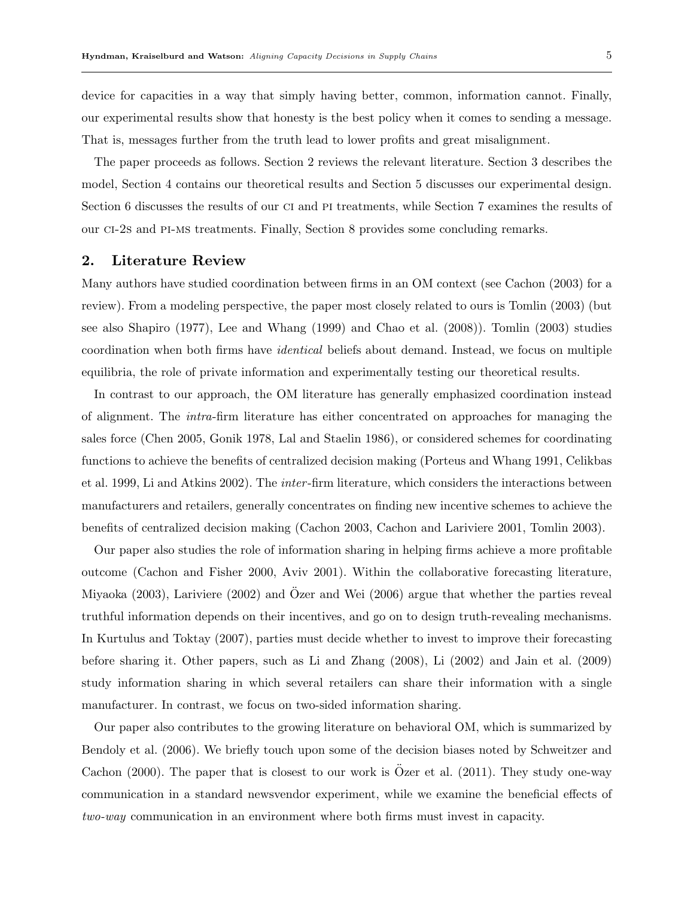device for capacities in a way that simply having better, common, information cannot. Finally, our experimental results show that honesty is the best policy when it comes to sending a message. That is, messages further from the truth lead to lower profits and great misalignment.

The paper proceeds as follows. Section 2 reviews the relevant literature. Section 3 describes the model, Section 4 contains our theoretical results and Section 5 discusses our experimental design. Section 6 discusses the results of our ci and pi treatments, while Section 7 examines the results of our ci-2s and pi-ms treatments. Finally, Section 8 provides some concluding remarks.

## 2. Literature Review

Many authors have studied coordination between firms in an OM context (see Cachon (2003) for a review). From a modeling perspective, the paper most closely related to ours is Tomlin (2003) (but see also Shapiro (1977), Lee and Whang (1999) and Chao et al. (2008)). Tomlin (2003) studies coordination when both firms have identical beliefs about demand. Instead, we focus on multiple equilibria, the role of private information and experimentally testing our theoretical results.

In contrast to our approach, the OM literature has generally emphasized coordination instead of alignment. The intra-firm literature has either concentrated on approaches for managing the sales force (Chen 2005, Gonik 1978, Lal and Staelin 1986), or considered schemes for coordinating functions to achieve the benefits of centralized decision making (Porteus and Whang 1991, Celikbas et al. 1999, Li and Atkins 2002). The inter -firm literature, which considers the interactions between manufacturers and retailers, generally concentrates on finding new incentive schemes to achieve the benefits of centralized decision making (Cachon 2003, Cachon and Lariviere 2001, Tomlin 2003).

Our paper also studies the role of information sharing in helping firms achieve a more profitable outcome (Cachon and Fisher 2000, Aviv 2001). Within the collaborative forecasting literature, Miyaoka  $(2003)$ , Lariviere  $(2002)$  and  $O$ zer and Wei  $(2006)$  argue that whether the parties reveal truthful information depends on their incentives, and go on to design truth-revealing mechanisms. In Kurtulus and Toktay (2007), parties must decide whether to invest to improve their forecasting before sharing it. Other papers, such as Li and Zhang (2008), Li (2002) and Jain et al. (2009) study information sharing in which several retailers can share their information with a single manufacturer. In contrast, we focus on two-sided information sharing.

Our paper also contributes to the growing literature on behavioral OM, which is summarized by Bendoly et al. (2006). We briefly touch upon some of the decision biases noted by Schweitzer and Cachon  $(2000)$ . The paper that is closest to our work is Ozer et al.  $(2011)$ . They study one-way communication in a standard newsvendor experiment, while we examine the beneficial effects of two-way communication in an environment where both firms must invest in capacity.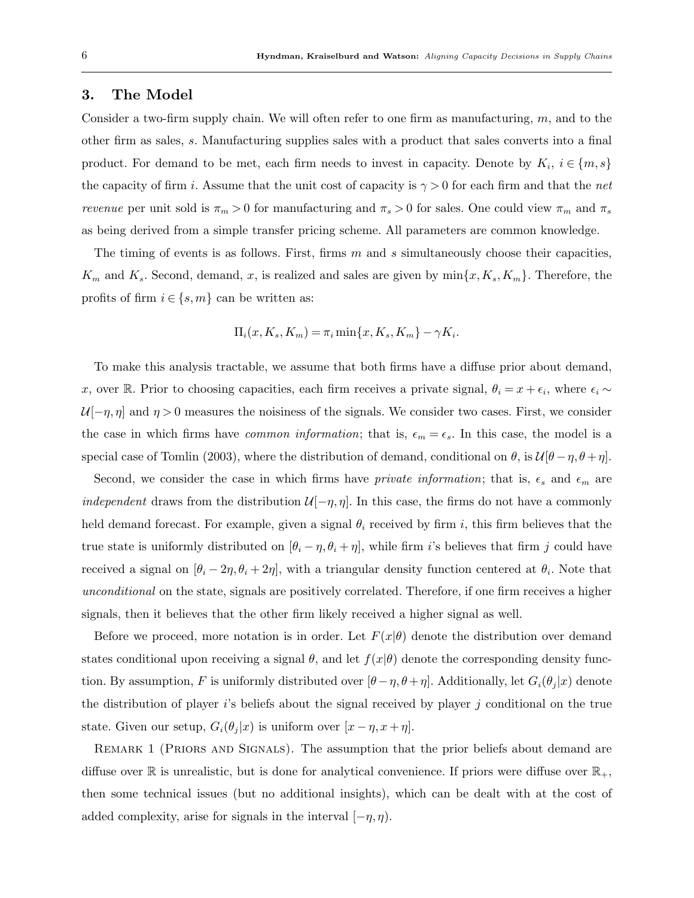## 3. The Model

Consider a two-firm supply chain. We will often refer to one firm as manufacturing,  $m$ , and to the other firm as sales, s. Manufacturing supplies sales with a product that sales converts into a final product. For demand to be met, each firm needs to invest in capacity. Denote by  $K_i$ ,  $i \in \{m, s\}$ the capacity of firm i. Assume that the unit cost of capacity is  $\gamma > 0$  for each firm and that the net *revenue* per unit sold is  $\pi_m > 0$  for manufacturing and  $\pi_s > 0$  for sales. One could view  $\pi_m$  and  $\pi_s$ as being derived from a simple transfer pricing scheme. All parameters are common knowledge.

The timing of events is as follows. First, firms  $m$  and  $s$  simultaneously choose their capacities.  $K_m$  and  $K_s$ . Second, demand, x, is realized and sales are given by  $\min\{x, K_s, K_m\}$ . Therefore, the profits of firm  $i \in \{s, m\}$  can be written as:

$$
\Pi_i(x, K_s, K_m) = \pi_i \min\{x, K_s, K_m\} - \gamma K_i.
$$

To make this analysis tractable, we assume that both firms have a diffuse prior about demand, x, over R. Prior to choosing capacities, each firm receives a private signal,  $\theta_i = x + \epsilon_i$ , where  $\epsilon_i \sim$  $\mathcal{U}[-\eta, \eta]$  and  $\eta > 0$  measures the noisiness of the signals. We consider two cases. First, we consider the case in which firms have *common information*; that is,  $\epsilon_m = \epsilon_s$ . In this case, the model is a special case of Tomlin (2003), where the distribution of demand, conditional on  $\theta$ , is  $\mathcal{U}[\theta - \eta, \theta + \eta]$ .

Second, we consider the case in which firms have *private information*; that is,  $\epsilon_s$  and  $\epsilon_m$  are *independent* draws from the distribution  $\mathcal{U}[-\eta, \eta]$ . In this case, the firms do not have a commonly held demand forecast. For example, given a signal  $\theta_i$  received by firm i, this firm believes that the true state is uniformly distributed on  $[\theta_i - \eta, \theta_i + \eta]$ , while firm i's believes that firm j could have received a signal on  $[\theta_i - 2\eta, \theta_i + 2\eta]$ , with a triangular density function centered at  $\theta_i$ . Note that unconditional on the state, signals are positively correlated. Therefore, if one firm receives a higher signals, then it believes that the other firm likely received a higher signal as well.

Before we proceed, more notation is in order. Let  $F(x|\theta)$  denote the distribution over demand states conditional upon receiving a signal  $\theta$ , and let  $f(x|\theta)$  denote the corresponding density function. By assumption, F is uniformly distributed over  $[\theta - \eta, \theta + \eta]$ . Additionally, let  $G_i(\theta_j|x)$  denote the distribution of player  $i$ 's beliefs about the signal received by player  $j$  conditional on the true state. Given our setup,  $G_i(\theta_j|x)$  is uniform over  $[x - \eta, x + \eta]$ .

REMARK 1 (PRIORS AND SIGNALS). The assumption that the prior beliefs about demand are diffuse over  $\mathbb R$  is unrealistic, but is done for analytical convenience. If priors were diffuse over  $\mathbb R_+$ , then some technical issues (but no additional insights), which can be dealt with at the cost of added complexity, arise for signals in the interval  $[-\eta, \eta)$ .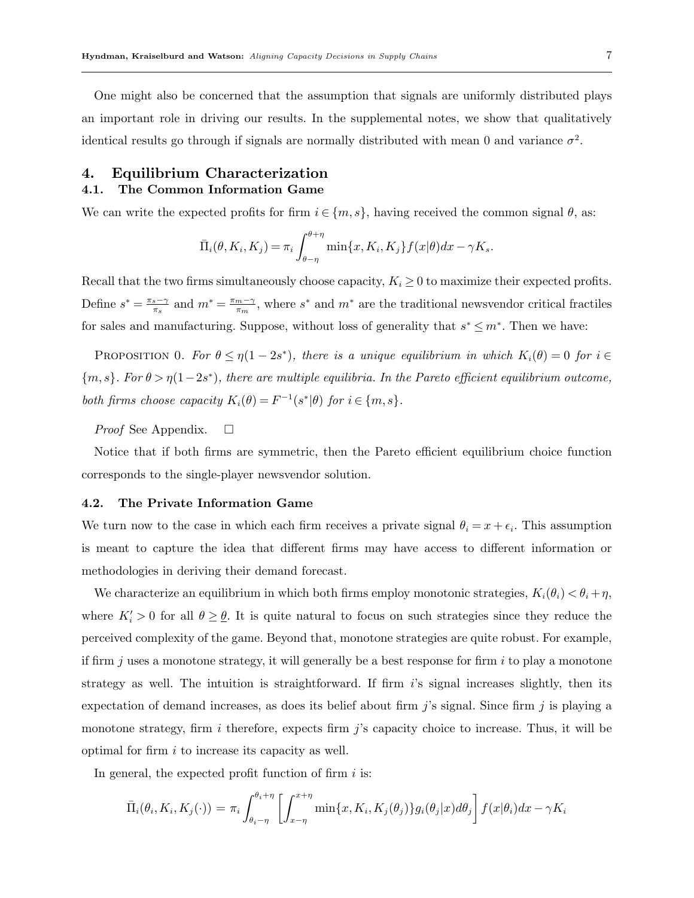One might also be concerned that the assumption that signals are uniformly distributed plays an important role in driving our results. In the supplemental notes, we show that qualitatively identical results go through if signals are normally distributed with mean 0 and variance  $\sigma^2$ .

# 4. Equilibrium Characterization 4.1. The Common Information Game

We can write the expected profits for firm  $i \in \{m, s\}$ , having received the common signal  $\theta$ , as:

$$
\bar{\Pi}_i(\theta, K_i, K_j) = \pi_i \int_{\theta-\eta}^{\theta+\eta} \min\{x, K_i, K_j\} f(x|\theta) dx - \gamma K_s.
$$

Recall that the two firms simultaneously choose capacity,  $K_i \geq 0$  to maximize their expected profits. Define  $s^* = \frac{\pi_s - \gamma}{\pi_s}$  $\frac{s-\gamma}{\pi_s}$  and  $m^* = \frac{\pi_m - \gamma}{\pi_m}$  $\frac{m-\gamma}{\pi_m}$ , where  $s^*$  and  $m^*$  are the traditional newsvendor critical fractiles for sales and manufacturing. Suppose, without loss of generality that  $s^* \leq m^*$ . Then we have:

PROPOSITION 0. For  $\theta \leq \eta(1-2s^*)$ , there is a unique equilibrium in which  $K_i(\theta) = 0$  for  $i \in$  ${m, s}$ . For  $\theta > \eta(1-2s^*)$ , there are multiple equilibria. In the Pareto efficient equilibrium outcome, both firms choose capacity  $K_i(\theta) = F^{-1}(s^*|\theta)$  for  $i \in \{m, s\}$ .

*Proof* See Appendix.  $\square$ 

Notice that if both firms are symmetric, then the Pareto efficient equilibrium choice function corresponds to the single-player newsvendor solution.

## 4.2. The Private Information Game

We turn now to the case in which each firm receives a private signal  $\theta_i = x + \epsilon_i$ . This assumption is meant to capture the idea that different firms may have access to different information or methodologies in deriving their demand forecast.

We characterize an equilibrium in which both firms employ monotonic strategies,  $K_i(\theta_i) < \theta_i + \eta$ , where  $K_i' > 0$  for all  $\theta \ge \theta$ . It is quite natural to focus on such strategies since they reduce the perceived complexity of the game. Beyond that, monotone strategies are quite robust. For example, if firm j uses a monotone strategy, it will generally be a best response for firm  $i$  to play a monotone strategy as well. The intuition is straightforward. If firm  $i$ 's signal increases slightly, then its expectation of demand increases, as does its belief about firm j's signal. Since firm j is playing a monotone strategy, firm i therefore, expects firm j's capacity choice to increase. Thus, it will be optimal for firm i to increase its capacity as well.

In general, the expected profit function of firm  $i$  is:

$$
\bar{\Pi}_i(\theta_i, K_i, K_j(\cdot)) = \pi_i \int_{\theta_i - \eta}^{\theta_i + \eta} \left[ \int_{x - \eta}^{x + \eta} \min\{x, K_i, K_j(\theta_j)\} g_i(\theta_j | x) d\theta_j \right] f(x | \theta_i) dx - \gamma K_i
$$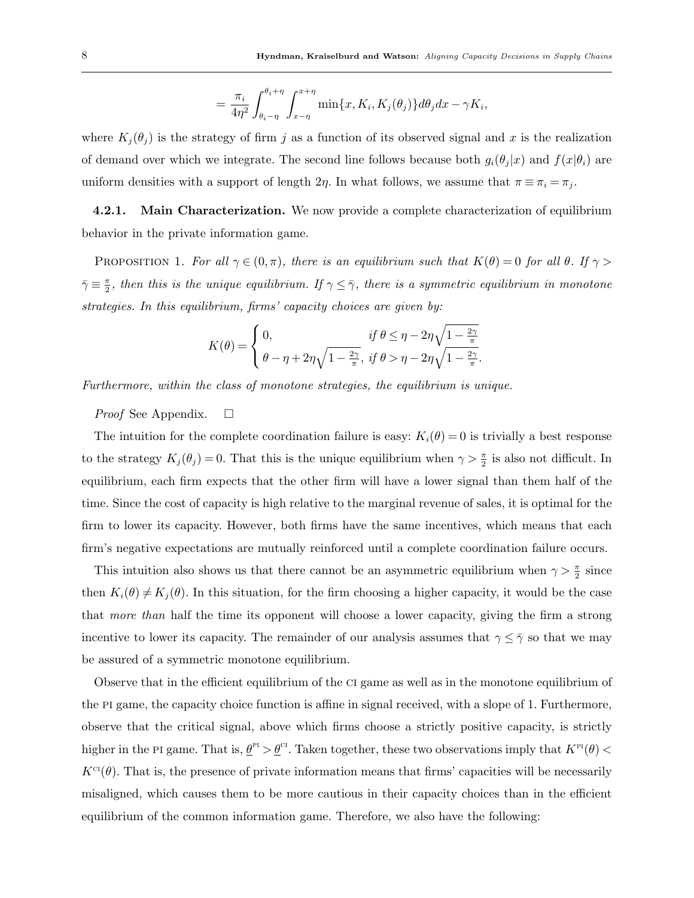$$
= \frac{\pi_i}{4\eta^2} \int_{\theta_i - \eta}^{\theta_i + \eta} \int_{x - \eta}^{x + \eta} \min\{x, K_i, K_j(\theta_j)\} d\theta_j dx - \gamma K_i,
$$

where  $K_i(\theta_i)$  is the strategy of firm j as a function of its observed signal and x is the realization of demand over which we integrate. The second line follows because both  $g_i(\theta_j|x)$  and  $f(x|\theta_i)$  are uniform densities with a support of length  $2\eta$ . In what follows, we assume that  $\pi \equiv \pi_i = \pi_j$ .

**4.2.1.** Main Characterization. We now provide a complete characterization of equilibrium behavior in the private information game.

PROPOSITION 1. For all  $\gamma \in (0, \pi)$ , there is an equilibrium such that  $K(\theta) = 0$  for all  $\theta$ . If  $\gamma >$  $\bar{\gamma} \equiv \frac{\pi}{2}$  $\frac{\pi}{2}$ , then this is the unique equilibrium. If  $\gamma \leq \bar{\gamma}$ , there is a symmetric equilibrium in monotone strategies. In this equilibrium, firms' capacity choices are given by:

$$
K(\theta) = \begin{cases} 0, & \text{if } \theta \le \eta - 2\eta \sqrt{1 - \frac{2\gamma}{\pi}}, \\ \theta - \eta + 2\eta \sqrt{1 - \frac{2\gamma}{\pi}}, & \text{if } \theta > \eta - 2\eta \sqrt{1 - \frac{2\gamma}{\pi}}. \end{cases}
$$

Furthermore, within the class of monotone strategies, the equilibrium is unique.

*Proof* See Appendix.  $\square$ 

The intuition for the complete coordination failure is easy:  $K_i(\theta) = 0$  is trivially a best response to the strategy  $K_j(\theta_j) = 0$ . That this is the unique equilibrium when  $\gamma > \frac{\pi}{2}$  is also not difficult. In equilibrium, each firm expects that the other firm will have a lower signal than them half of the time. Since the cost of capacity is high relative to the marginal revenue of sales, it is optimal for the firm to lower its capacity. However, both firms have the same incentives, which means that each firm's negative expectations are mutually reinforced until a complete coordination failure occurs.

This intuition also shows us that there cannot be an asymmetric equilibrium when  $\gamma > \frac{\pi}{2}$  since then  $K_i(\theta) \neq K_j(\theta)$ . In this situation, for the firm choosing a higher capacity, it would be the case that more than half the time its opponent will choose a lower capacity, giving the firm a strong incentive to lower its capacity. The remainder of our analysis assumes that  $\gamma \leq \overline{\gamma}$  so that we may be assured of a symmetric monotone equilibrium.

Observe that in the efficient equilibrium of the ci game as well as in the monotone equilibrium of the pi game, the capacity choice function is affine in signal received, with a slope of 1. Furthermore, observe that the critical signal, above which firms choose a strictly positive capacity, is strictly higher in the PI game. That is,  $\underline{\theta}^{\text{PI}} > \underline{\theta}^{\text{CI}}$ . Taken together, these two observations imply that  $K^{\text{PI}}(\theta) <$  $K^{c}(\theta)$ . That is, the presence of private information means that firms' capacities will be necessarily misaligned, which causes them to be more cautious in their capacity choices than in the efficient equilibrium of the common information game. Therefore, we also have the following: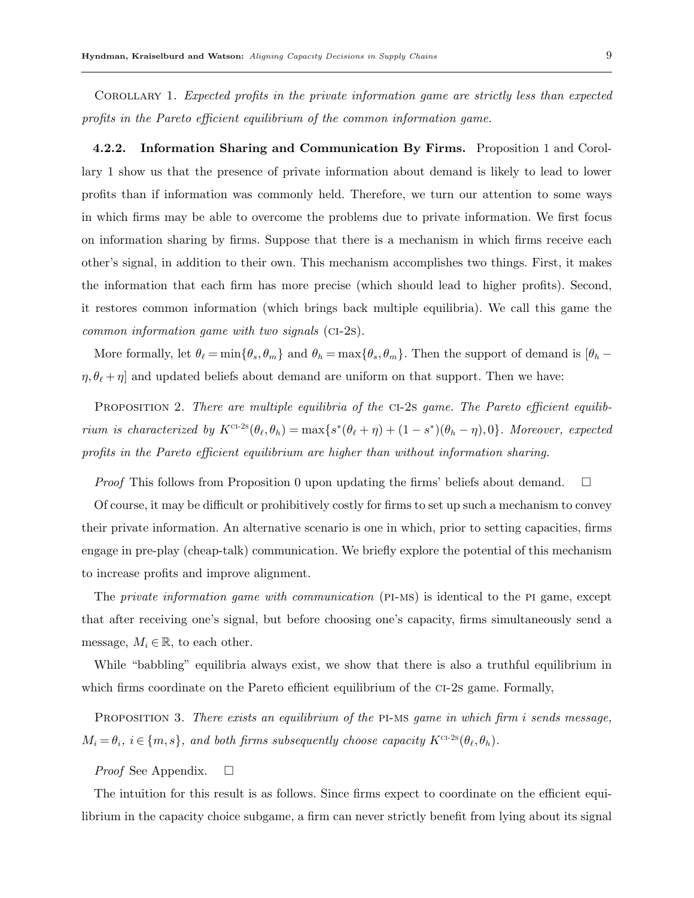Corollary 1. Expected profits in the private information game are strictly less than expected profits in the Pareto efficient equilibrium of the common information game.

4.2.2. Information Sharing and Communication By Firms. Proposition 1 and Corollary 1 show us that the presence of private information about demand is likely to lead to lower profits than if information was commonly held. Therefore, we turn our attention to some ways in which firms may be able to overcome the problems due to private information. We first focus on information sharing by firms. Suppose that there is a mechanism in which firms receive each other's signal, in addition to their own. This mechanism accomplishes two things. First, it makes the information that each firm has more precise (which should lead to higher profits). Second, it restores common information (which brings back multiple equilibria). We call this game the common information game with two signals (ci-2s).

More formally, let  $\theta_\ell = \min\{\theta_s, \theta_m\}$  and  $\theta_h = \max\{\theta_s, \theta_m\}$ . Then the support of demand is  $[\theta_h - \theta_m]$  $\eta$ ,  $\theta_{\ell} + \eta$  and updated beliefs about demand are uniform on that support. Then we have:

PROPOSITION 2. There are multiple equilibria of the CI-2s game. The Pareto efficient equilibrium is characterized by  $K^{CI-2s}(\theta_\ell, \theta_h) = \max\{s^*(\theta_\ell + \eta) + (1 - s^*)(\theta_h - \eta), 0\}$ . Moreover, expected profits in the Pareto efficient equilibrium are higher than without information sharing.

*Proof* This follows from Proposition 0 upon updating the firms' beliefs about demand.  $\square$ 

Of course, it may be difficult or prohibitively costly for firms to set up such a mechanism to convey their private information. An alternative scenario is one in which, prior to setting capacities, firms engage in pre-play (cheap-talk) communication. We briefly explore the potential of this mechanism to increase profits and improve alignment.

The *private information game with communication* (PI-MS) is identical to the PI game, except that after receiving one's signal, but before choosing one's capacity, firms simultaneously send a message,  $M_i \in \mathbb{R}$ , to each other.

While "babbling" equilibria always exist, we show that there is also a truthful equilibrium in which firms coordinate on the Pareto efficient equilibrium of the CI-2s game. Formally,

PROPOSITION 3. There exists an equilibrium of the PI-MS game in which firm i sends message,  $M_i = \theta_i$ ,  $i \in \{m, s\}$ , and both firms subsequently choose capacity  $K^{c-2s}(\theta_\ell, \theta_h)$ .

#### *Proof* See Appendix.  $\square$

The intuition for this result is as follows. Since firms expect to coordinate on the efficient equilibrium in the capacity choice subgame, a firm can never strictly benefit from lying about its signal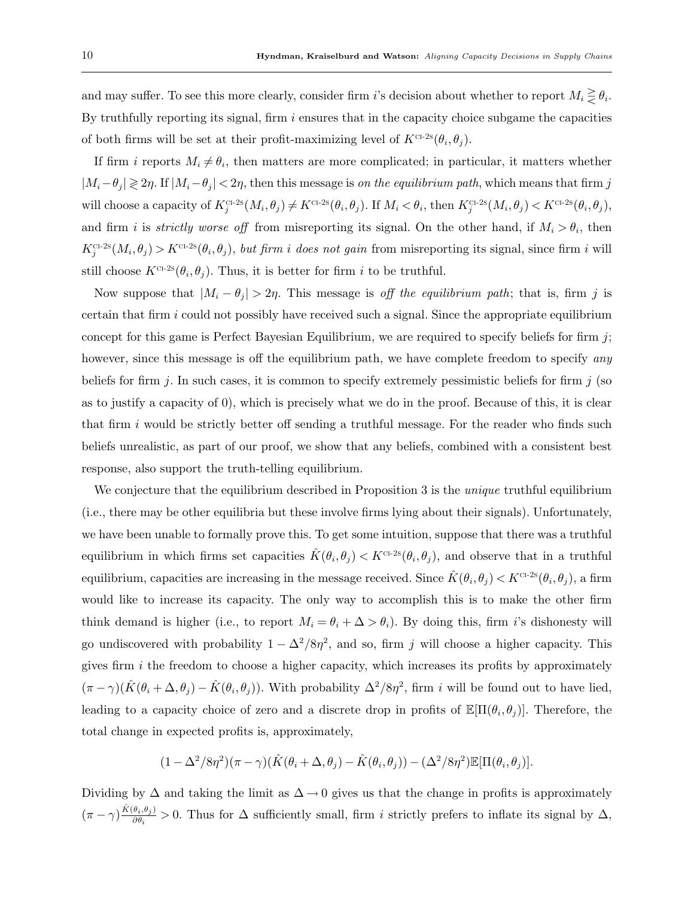and may suffer. To see this more clearly, consider firm i's decision about whether to report  $M_i \geq \theta_i$ . By truthfully reporting its signal, firm  $i$  ensures that in the capacity choice subgame the capacities of both firms will be set at their profit-maximizing level of  $K^{CL2S}(\theta_i, \theta_j)$ .

If firm i reports  $M_i \neq \theta_i$ , then matters are more complicated; in particular, it matters whether  $|M_i-\theta_j| \geq 2\eta$ . If  $|M_i-\theta_j| < 2\eta$ , then this message is on the equilibrium path, which means that firm j will choose a capacity of  $K_j^{\text{cr-2s}}(M_i, \theta_j) \neq K^{\text{cr-2s}}(\theta_i, \theta_j)$ . If  $M_i < \theta_i$ , then  $K_j^{\text{cr-2s}}(M_i, \theta_j) < K^{\text{cr-2s}}(\theta_i, \theta_j)$ , and firm i is *strictly worse off* from misreporting its signal. On the other hand, if  $M_i > \theta_i$ , then  $K_j^{\text{CL-2s}}(M_i, \theta_j) > K^{\text{CL-2s}}(\theta_i, \theta_j)$ , but firm i does not gain from misreporting its signal, since firm i will still choose  $K^{\text{CL-2s}}(\theta_i, \theta_j)$ . Thus, it is better for firm i to be truthful.

Now suppose that  $|M_i - \theta_j| > 2\eta$ . This message is off the equilibrium path; that is, firm j is certain that firm  $i$  could not possibly have received such a signal. Since the appropriate equilibrium concept for this game is Perfect Bayesian Equilibrium, we are required to specify beliefs for firm  $j$ ; however, since this message is off the equilibrium path, we have complete freedom to specify any beliefs for firm j. In such cases, it is common to specify extremely pessimistic beliefs for firm j (so as to justify a capacity of 0), which is precisely what we do in the proof. Because of this, it is clear that firm  $i$  would be strictly better off sending a truthful message. For the reader who finds such beliefs unrealistic, as part of our proof, we show that any beliefs, combined with a consistent best response, also support the truth-telling equilibrium.

We conjecture that the equilibrium described in Proposition 3 is the *unique* truthful equilibrium (i.e., there may be other equilibria but these involve firms lying about their signals). Unfortunately, we have been unable to formally prove this. To get some intuition, suppose that there was a truthful equilibrium in which firms set capacities  $\hat{K}(\theta_i, \theta_j) < K^{\text{CI-2s}}(\theta_i, \theta_j)$ , and observe that in a truthful equilibrium, capacities are increasing in the message received. Since  $\hat{K}(\theta_i, \theta_j) < K^{\text{CI-2s}}(\theta_i, \theta_j)$ , a firm would like to increase its capacity. The only way to accomplish this is to make the other firm think demand is higher (i.e., to report  $M_i = \theta_i + \Delta > \theta_i$ ). By doing this, firm i's dishonesty will go undiscovered with probability  $1 - \Delta^2/8\eta^2$ , and so, firm j will choose a higher capacity. This gives firm  $i$  the freedom to choose a higher capacity, which increases its profits by approximately  $(\pi - \gamma)(\hat{K}(\theta_i + \Delta, \theta_j) - \hat{K}(\theta_i, \theta_j)).$  With probability  $\Delta^2/8\eta^2$ , firm i will be found out to have lied, leading to a capacity choice of zero and a discrete drop in profits of  $\mathbb{E}[\Pi(\theta_i, \theta_j)]$ . Therefore, the total change in expected profits is, approximately,

$$
(1 - \Delta^2/8\eta^2)(\pi - \gamma)(\hat{K}(\theta_i + \Delta, \theta_j) - \hat{K}(\theta_i, \theta_j)) - (\Delta^2/8\eta^2)\mathbb{E}[\Pi(\theta_i, \theta_j)].
$$

Dividing by  $\Delta$  and taking the limit as  $\Delta \to 0$  gives us that the change in profits is approximately  $(\pi - \gamma) \frac{\hat{K}(\theta_i, \theta_j)}{\partial \theta_i}$  $\frac{\partial i,\partial j}{\partial \theta_i} > 0$ . Thus for  $\Delta$  sufficiently small, firm i strictly prefers to inflate its signal by  $\Delta$ ,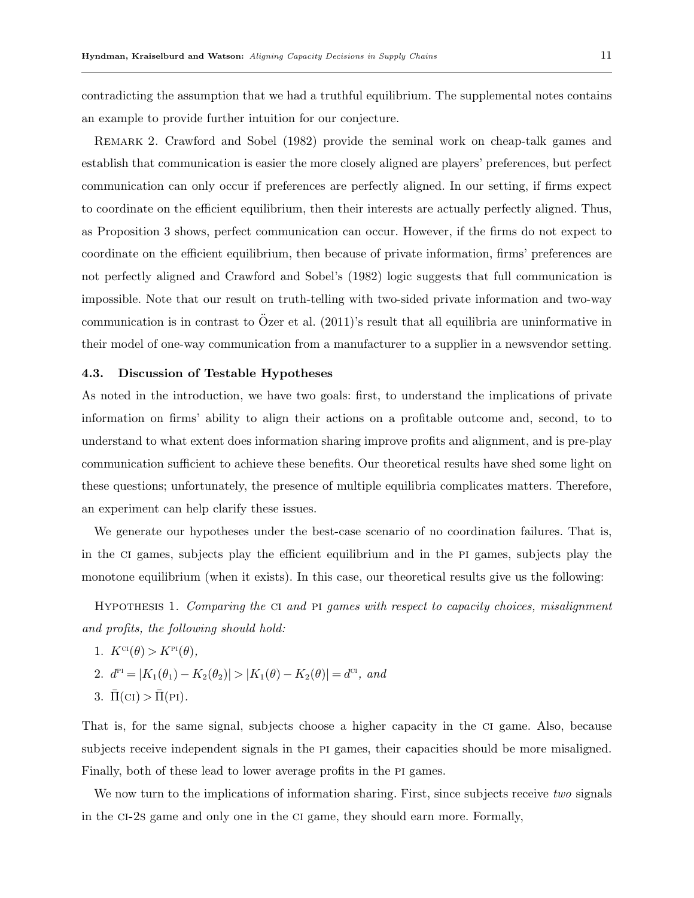contradicting the assumption that we had a truthful equilibrium. The supplemental notes contains an example to provide further intuition for our conjecture.

Remark 2. Crawford and Sobel (1982) provide the seminal work on cheap-talk games and establish that communication is easier the more closely aligned are players' preferences, but perfect communication can only occur if preferences are perfectly aligned. In our setting, if firms expect to coordinate on the efficient equilibrium, then their interests are actually perfectly aligned. Thus, as Proposition 3 shows, perfect communication can occur. However, if the firms do not expect to coordinate on the efficient equilibrium, then because of private information, firms' preferences are not perfectly aligned and Crawford and Sobel's (1982) logic suggests that full communication is impossible. Note that our result on truth-telling with two-sided private information and two-way communication is in contrast to Özer et al.  $(2011)'s$  result that all equilibria are uninformative in their model of one-way communication from a manufacturer to a supplier in a newsvendor setting.

#### 4.3. Discussion of Testable Hypotheses

As noted in the introduction, we have two goals: first, to understand the implications of private information on firms' ability to align their actions on a profitable outcome and, second, to to understand to what extent does information sharing improve profits and alignment, and is pre-play communication sufficient to achieve these benefits. Our theoretical results have shed some light on these questions; unfortunately, the presence of multiple equilibria complicates matters. Therefore, an experiment can help clarify these issues.

We generate our hypotheses under the best-case scenario of no coordination failures. That is, in the ci games, subjects play the efficient equilibrium and in the pi games, subjects play the monotone equilibrium (when it exists). In this case, our theoretical results give us the following:

Hypothesis 1. Comparing the ci and pi games with respect to capacity choices, misalignment and profits, the following should hold:

1. 
$$
K^{Cl}(\theta) > K^{Pl}(\theta)
$$
,  
\n2.  $d^{Pl} = |K_1(\theta_1) - K_2(\theta_2)| > |K_1(\theta) - K_2(\theta)| = d^{Cl}$ , and  
\n3.  $\bar{\Pi}(Cl) > \bar{\Pi}(Pl)$ .

That is, for the same signal, subjects choose a higher capacity in the ci game. Also, because subjects receive independent signals in the PI games, their capacities should be more misaligned. Finally, both of these lead to lower average profits in the PI games.

We now turn to the implications of information sharing. First, since subjects receive two signals in the ci-2s game and only one in the ci game, they should earn more. Formally,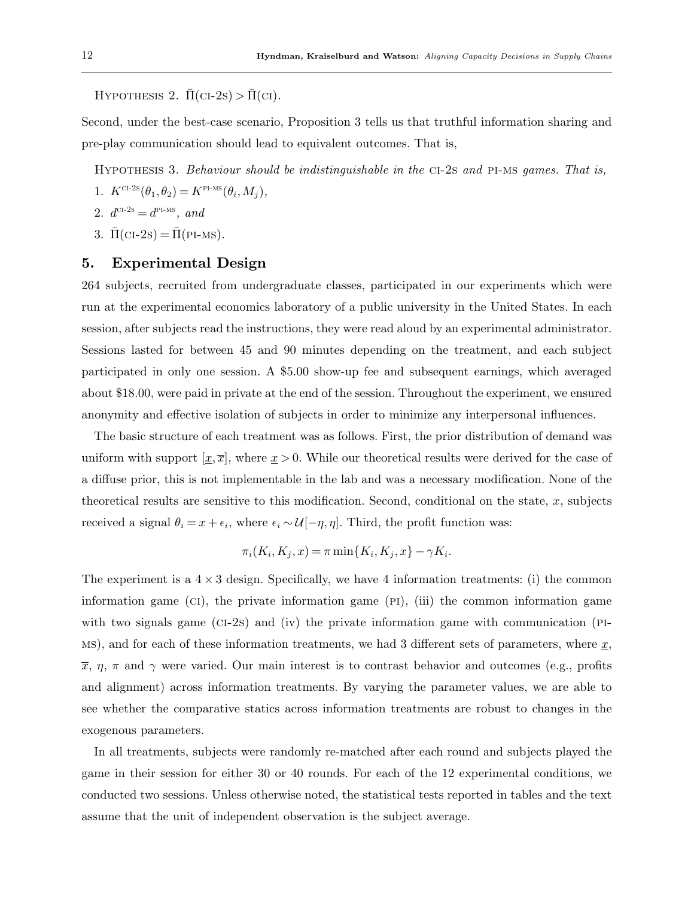HYPOTHESIS 2.  $\Pi$ (CI-2s) >  $\Pi$ (CI).

Second, under the best-case scenario, Proposition 3 tells us that truthful information sharing and pre-play communication should lead to equivalent outcomes. That is,

Hypothesis 3. Behaviour should be indistinguishable in the ci-2s and pi-ms games. That is,

- 1.  $K^{\text{cr-2s}}(\theta_1, \theta_2) = K^{\text{PI-MS}}(\theta_i, M_j),$
- 2.  $d^{\text{CI-2S}} = d^{\text{PI-MS}}$ , and
- 3.  $\overline{\Pi}(\text{CI-2s}) = \overline{\Pi}(\text{PI-MS}).$

## 5. Experimental Design

264 subjects, recruited from undergraduate classes, participated in our experiments which were run at the experimental economics laboratory of a public university in the United States. In each session, after subjects read the instructions, they were read aloud by an experimental administrator. Sessions lasted for between 45 and 90 minutes depending on the treatment, and each subject participated in only one session. A \$5.00 show-up fee and subsequent earnings, which averaged about \$18.00, were paid in private at the end of the session. Throughout the experiment, we ensured anonymity and effective isolation of subjects in order to minimize any interpersonal influences.

The basic structure of each treatment was as follows. First, the prior distribution of demand was uniform with support  $[\underline{x}, \overline{x}]$ , where  $\underline{x} > 0$ . While our theoretical results were derived for the case of a diffuse prior, this is not implementable in the lab and was a necessary modification. None of the theoretical results are sensitive to this modification. Second, conditional on the state,  $x$ , subjects received a signal  $\theta_i = x + \epsilon_i$ , where  $\epsilon_i \sim \mathcal{U}[-\eta, \eta]$ . Third, the profit function was:

$$
\pi_i(K_i, K_j, x) = \pi \min\{K_i, K_j, x\} - \gamma K_i.
$$

The experiment is a  $4 \times 3$  design. Specifically, we have 4 information treatments: (i) the common information game  $(CI)$ , the private information game  $(PI)$ ,  $(iii)$  the common information game with two signals game (CI-2s) and (iv) the private information game with communication (PI-MS), and for each of these information treatments, we had 3 different sets of parameters, where  $x$ ,  $\bar{x}$ ,  $\eta$ ,  $\pi$  and  $\gamma$  were varied. Our main interest is to contrast behavior and outcomes (e.g., profits and alignment) across information treatments. By varying the parameter values, we are able to see whether the comparative statics across information treatments are robust to changes in the exogenous parameters.

In all treatments, subjects were randomly re-matched after each round and subjects played the game in their session for either 30 or 40 rounds. For each of the 12 experimental conditions, we conducted two sessions. Unless otherwise noted, the statistical tests reported in tables and the text assume that the unit of independent observation is the subject average.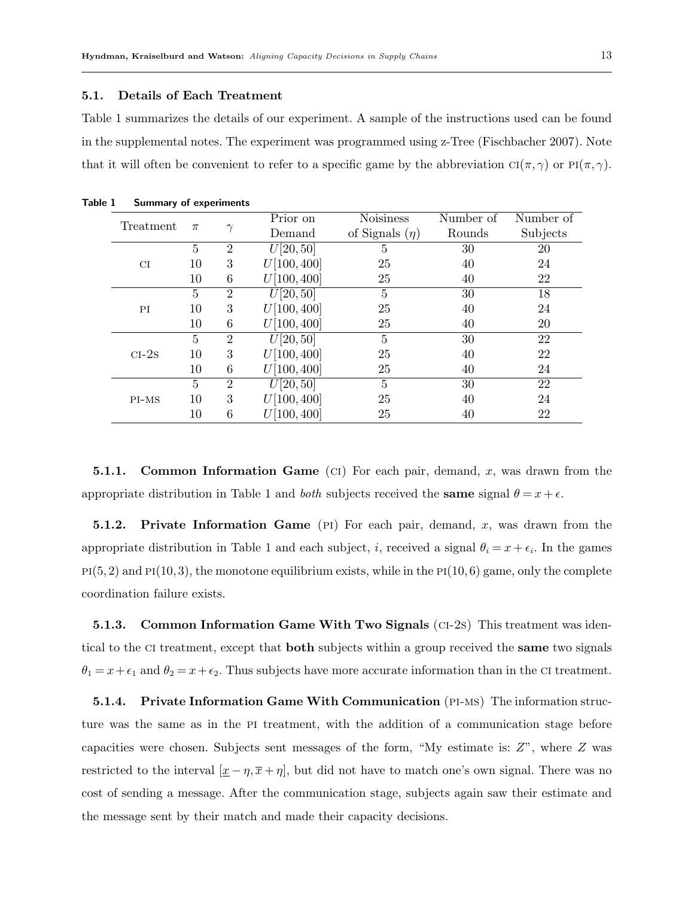#### 5.1. Details of Each Treatment

Table 1 summarizes the details of our experiment. A sample of the instructions used can be found in the supplemental notes. The experiment was programmed using z-Tree (Fischbacher 2007). Note that it will often be convenient to refer to a specific game by the abbreviation  $Cl(\pi, \gamma)$  or  $Pl(\pi, \gamma)$ .

| Treatment |                |                | Prior on    | <b>Noisiness</b>    | Number of | Number of |
|-----------|----------------|----------------|-------------|---------------------|-----------|-----------|
|           | $\pi$          | $\gamma$       | Demand      | of Signals $(\eta)$ | Rounds    | Subjects  |
|           | 5              | $\overline{2}$ | U[20, 50]   | 5                   | 30        | 20        |
| CI        | 10             | 3              | U[100, 400] | 25                  | 40        | 24        |
|           | 10             | 6              | U[100, 400] | 25                  | 40        | 22        |
|           | 5              | $\overline{2}$ | U[20, 50]   | 5                   | 30        | 18        |
| PI        | 10             | 3              | U[100, 400] | 25                  | 40        | 24        |
|           | 10             | 6              | U[100, 400] | 25                  | 40        | 20        |
|           | $\overline{5}$ | $\overline{2}$ | U[20, 50]   | $\overline{5}$      | 30        | 22        |
| $CI-2s$   | 10             | 3              | U[100, 400] | 25                  | 40        | 22        |
|           | 10             | 6              | U[100, 400] | 25                  | 40        | 24        |
|           | $\overline{5}$ | $\overline{2}$ | U[20, 50]   | $\overline{5}$      | 30        | 22        |
| $PI-MS$   | 10             | 3              | U[100, 400] | 25                  | 40        | 24        |
|           | 10             | 6              | [100, 400]  | 25                  | 40        | 22        |

Table 1 Summary of experiments

**5.1.1.** Common Information Game (CI) For each pair, demand, x, was drawn from the appropriate distribution in Table 1 and *both* subjects received the **same** signal  $\theta = x + \epsilon$ .

**5.1.2.** Private Information Game (PI) For each pair, demand, x, was drawn from the appropriate distribution in Table 1 and each subject, *i*, received a signal  $\theta_i = x + \epsilon_i$ . In the games  $PI(5, 2)$  and  $PI(10, 3)$ , the monotone equilibrium exists, while in the  $PI(10, 6)$  game, only the complete coordination failure exists.

5.1.3. Common Information Game With Two Signals (ci-2s) This treatment was identical to the CI treatment, except that **both** subjects within a group received the **same** two signals  $\theta_1 = x + \epsilon_1$  and  $\theta_2 = x + \epsilon_2$ . Thus subjects have more accurate information than in the CI treatment.

**5.1.4.** Private Information Game With Communication (PI-MS) The information structure was the same as in the PI treatment, with the addition of a communication stage before capacities were chosen. Subjects sent messages of the form, "My estimate is: Z", where Z was restricted to the interval  $[\underline{x} - \eta, \overline{x} + \eta]$ , but did not have to match one's own signal. There was no cost of sending a message. After the communication stage, subjects again saw their estimate and the message sent by their match and made their capacity decisions.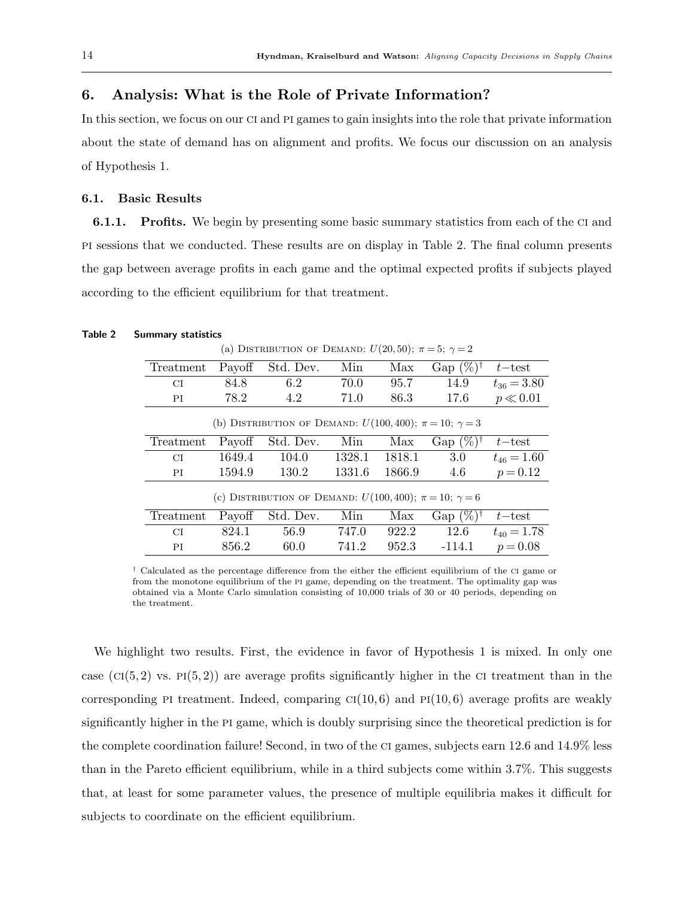# 6. Analysis: What is the Role of Private Information?

In this section, we focus on our ci and pi games to gain insights into the role that private information about the state of demand has on alignment and profits. We focus our discussion on an analysis of Hypothesis 1.

## 6.1. Basic Results

**6.1.1.** Profits. We begin by presenting some basic summary statistics from each of the CI and pi sessions that we conducted. These results are on display in Table 2. The final column presents the gap between average profits in each game and the optimal expected profits if subjects played according to the efficient equilibrium for that treatment.

## Table 2 Summary statistics

(a) DISTRIBUTION OF DEMAND:  $U(20, 50)$ ;  $\pi = 5$ ;  $\gamma = 2$ 

| Gap $(\%)^{\dagger}$<br>Std. Dev.<br>Min<br>Payoff<br>Max<br>Treatment<br>84.8<br>14.9<br>6.2<br>70.0<br>95.7<br>CI<br>78.2<br>4.2<br>17.6<br>71.0<br>86.3<br>ΡI<br>(b) DISTRIBUTION OF DEMAND: $U(100, 400)$ ; $\pi = 10$ ; $\gamma = 3$<br>Gap $(\%)^{\dagger}$<br>Min<br>Payoff<br>Std. Dev.<br>Max<br>Treatment<br>1649.4<br>104.0<br>1328.1<br>1818.1<br>3.0<br><b>CI</b><br>1594.9<br>130.2<br>1331.6<br>1866.9<br>4.6<br>PI<br>(c) DISTRIBUTION OF DEMAND: $U(100, 400)$ ; $\pi = 10$ ; $\gamma = 6$ | $t$ – test<br>$t_{36} = 3.80$<br>$p \ll 0.01$ |
|-------------------------------------------------------------------------------------------------------------------------------------------------------------------------------------------------------------------------------------------------------------------------------------------------------------------------------------------------------------------------------------------------------------------------------------------------------------------------------------------------------------|-----------------------------------------------|
|                                                                                                                                                                                                                                                                                                                                                                                                                                                                                                             |                                               |
|                                                                                                                                                                                                                                                                                                                                                                                                                                                                                                             |                                               |
|                                                                                                                                                                                                                                                                                                                                                                                                                                                                                                             |                                               |
|                                                                                                                                                                                                                                                                                                                                                                                                                                                                                                             |                                               |
|                                                                                                                                                                                                                                                                                                                                                                                                                                                                                                             | $t$ – test                                    |
|                                                                                                                                                                                                                                                                                                                                                                                                                                                                                                             | $t_{46} = 1.60$                               |
|                                                                                                                                                                                                                                                                                                                                                                                                                                                                                                             | $p = 0.12$                                    |
|                                                                                                                                                                                                                                                                                                                                                                                                                                                                                                             |                                               |
| Std. Dev.<br>Min<br>Gap $(\%)^{\dagger}$<br>Payoff<br>Treatment<br>Max                                                                                                                                                                                                                                                                                                                                                                                                                                      | $t$ – test                                    |
| 922.2<br>12.6<br>824.1<br>56.9<br>747.0<br>СI                                                                                                                                                                                                                                                                                                                                                                                                                                                               |                                               |
| 856.2<br>741.2<br>952.3<br>60.0<br>$-114.1$<br>$p = 0.08$<br>PI                                                                                                                                                                                                                                                                                                                                                                                                                                             | $t_{40} = 1.78$                               |

† Calculated as the percentage difference from the either the efficient equilibrium of the ci game or from the monotone equilibrium of the pi game, depending on the treatment. The optimality gap was obtained via a Monte Carlo simulation consisting of 10,000 trials of 30 or 40 periods, depending on the treatment.

We highlight two results. First, the evidence in favor of Hypothesis 1 is mixed. In only one case ( $CI(5, 2)$ ) vs.  $PI(5, 2)$ ) are average profits significantly higher in the CI treatment than in the corresponding PI treatment. Indeed, comparing  $C(I(10, 6))$  and  $P(I(10, 6))$  average profits are weakly significantly higher in the pi game, which is doubly surprising since the theoretical prediction is for the complete coordination failure! Second, in two of the ci games, subjects earn 12.6 and 14.9% less than in the Pareto efficient equilibrium, while in a third subjects come within 3.7%. This suggests that, at least for some parameter values, the presence of multiple equilibria makes it difficult for subjects to coordinate on the efficient equilibrium.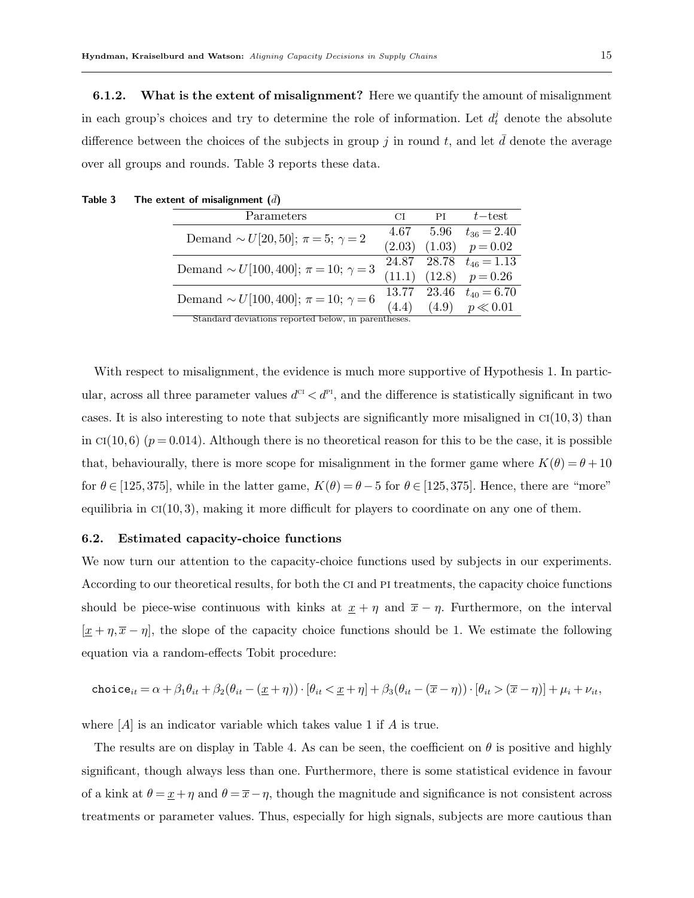**6.1.2.** What is the extent of misalignment? Here we quantify the amount of misalignment in each group's choices and try to determine the role of information. Let  $d_t^j$  denote the absolute difference between the choices of the subjects in group  $j$  in round  $t$ , and let  $d$  denote the average over all groups and rounds. Table 3 reports these data.

| Parameters                                            | CI     | PI | $t$ – test                  |
|-------------------------------------------------------|--------|----|-----------------------------|
| Demand $\sim U[20, 50]$ ; $\pi = 5$ ; $\gamma = 2$    |        |    | 4.67 5.96 $t_{36} = 2.40$   |
|                                                       | (2.03) |    | $(1.03)$ $p=0.02$           |
| Demand $\sim U[100, 400]$ ; $\pi = 10$ ; $\gamma = 3$ |        |    | 24.87 28.78 $t_{46} = 1.13$ |
|                                                       |        |    | $(11.1)$ $(12.8)$ $p=0.26$  |
| Demand $\sim U[100, 400]$ ; $\pi = 10$ ; $\gamma = 6$ |        |    | 13.77 23.46 $t_{40} = 6.70$ |
|                                                       | (4.4)  |    | $(4.9)$ $p \ll 0.01$        |
| Standard deviations reported below, in parentheses.   |        |    |                             |

Table 3 The extent of misalignment  $(\bar{d})$ 

With respect to misalignment, the evidence is much more supportive of Hypothesis 1. In particular, across all three parameter values  $d^{c} < d^{p}$ , and the difference is statistically significant in two cases. It is also interesting to note that subjects are significantly more misaligned in  $Cl(10,3)$  than in  $C1(10, 6)$  ( $p = 0.014$ ). Although there is no theoretical reason for this to be the case, it is possible that, behaviourally, there is more scope for misalignment in the former game where  $K(\theta) = \theta + 10$ for  $\theta \in [125, 375]$ , while in the latter game,  $K(\theta) = \theta - 5$  for  $\theta \in [125, 375]$ . Hence, there are "more" equilibria in  $C([10, 3))$ , making it more difficult for players to coordinate on any one of them.

#### 6.2. Estimated capacity-choice functions

We now turn our attention to the capacity-choice functions used by subjects in our experiments. According to our theoretical results, for both the ci and pi treatments, the capacity choice functions should be piece-wise continuous with kinks at  $\underline{x} + \eta$  and  $\overline{x} - \eta$ . Furthermore, on the interval  $[\underline{x} + \eta, \overline{x} - \eta]$ , the slope of the capacity choice functions should be 1. We estimate the following equation via a random-effects Tobit procedure:

$$
\texttt{choice}_{it} = \alpha + \beta_1 \theta_{it} + \beta_2 (\theta_{it} - (\underline{x} + \eta)) \cdot [\theta_{it} < \underline{x} + \eta] + \beta_3 (\theta_{it} - (\overline{x} - \eta)) \cdot [\theta_{it} > (\overline{x} - \eta)] + \mu_i + \nu_{it},
$$

where  $[A]$  is an indicator variable which takes value 1 if  $A$  is true.

The results are on display in Table 4. As can be seen, the coefficient on  $\theta$  is positive and highly significant, though always less than one. Furthermore, there is some statistical evidence in favour of a kink at  $\theta = \underline{x} + \eta$  and  $\theta = \overline{x} - \eta$ , though the magnitude and significance is not consistent across treatments or parameter values. Thus, especially for high signals, subjects are more cautious than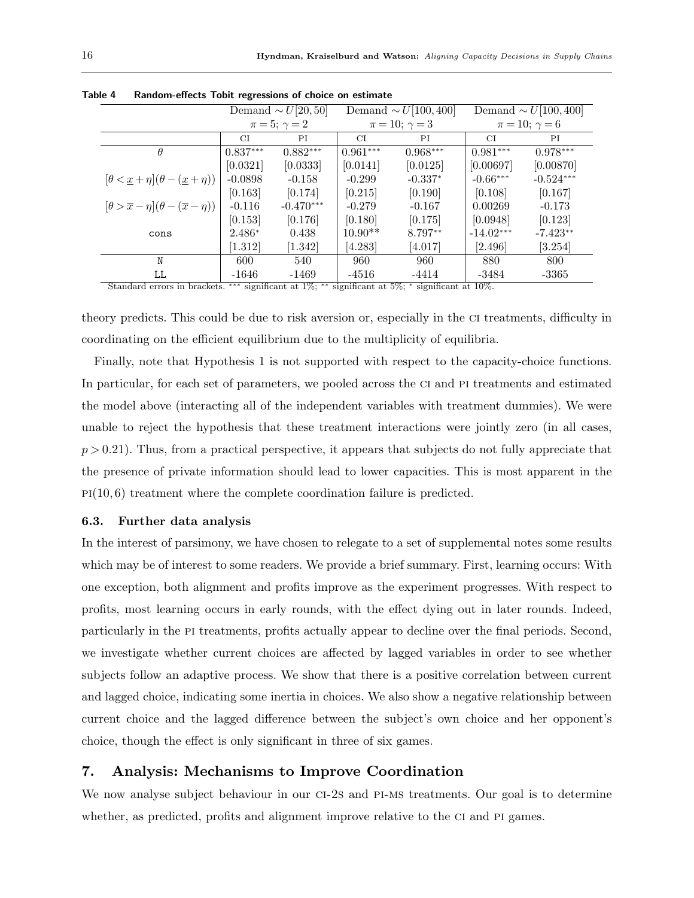|                                                                               |            | Demand $\sim U[20,50]$ |            | Demand $\sim U[100, 400]$                                                                                                | Demand $\sim U[100, 400]$ |             |  |
|-------------------------------------------------------------------------------|------------|------------------------|------------|--------------------------------------------------------------------------------------------------------------------------|---------------------------|-------------|--|
|                                                                               |            | $\pi = 5; \gamma = 2$  |            | $\pi = 10; \gamma = 3$                                                                                                   | $\pi = 10; \gamma = 6$    |             |  |
|                                                                               | CI         | PI                     | CI         | ΡI                                                                                                                       | CI                        | РI          |  |
| $\theta$                                                                      | $0.837***$ | $0.882***$             | $0.961***$ | $0.968***$                                                                                                               | $0.981***$                | $0.978***$  |  |
|                                                                               | [0.0321]   | [0.0333]               | [0.0141]   | [0.0125]                                                                                                                 | [0.00697]                 | [0.00870]   |  |
| $\left[\theta < \underline{x} + \eta\right](\theta - (\underline{x} + \eta))$ | $-0.0898$  | $-0.158$               | $-0.299$   | $-0.337*$                                                                                                                | $-0.66***$                | $-0.524***$ |  |
|                                                                               | [0.163]    | [0.174]                | [0.215]    | [0.190]                                                                                                                  | [0.108]                   | [0.167]     |  |
| $[\theta > \overline{x} - \eta](\theta - (\overline{x} - \eta))$              | $-0.116$   | $-0.470***$            | $-0.279$   | $-0.167$                                                                                                                 | 0.00269                   | $-0.173$    |  |
|                                                                               | [0.153]    | [0.176]                | [0.180]    | [0.175]                                                                                                                  | [0.0948]                  | [0.123]     |  |
| cons                                                                          | $2.486*$   | 0.438                  | $10.90**$  | 8.797**                                                                                                                  | $-14.02***$               | $-7.423**$  |  |
|                                                                               | $[1.312]$  | [1.342]                | [4.283]    | [4.017]                                                                                                                  | [2.496]                   | [3.254]     |  |
| N                                                                             | 600        | 540                    | 960        | 960                                                                                                                      | 880                       | 800         |  |
| LL                                                                            | $-1646$    | $-1469$                | $-4516$    | $-4414$                                                                                                                  | -3484                     | $-3365$     |  |
| Channels and constant to the collection                                       |            |                        |            | *** $\ldots$ $C_{n+1}$ + $\frac{107}{x}$ ** $\ldots$ $C_{n+1}$ + $\frac{107}{x}$ * $\ldots$ $C_{n+1}$ + $\frac{1007}{x}$ |                           |             |  |

Table 4 Random-effects Tobit regressions of choice on estimate

Standard errors in brackets.  $***$  significant at 1%; significant at 5\%; \* significant at 10\%.

theory predicts. This could be due to risk aversion or, especially in the ci treatments, difficulty in coordinating on the efficient equilibrium due to the multiplicity of equilibria.

Finally, note that Hypothesis 1 is not supported with respect to the capacity-choice functions. In particular, for each set of parameters, we pooled across the CI and PI treatments and estimated the model above (interacting all of the independent variables with treatment dummies). We were unable to reject the hypothesis that these treatment interactions were jointly zero (in all cases,  $p > 0.21$ . Thus, from a practical perspective, it appears that subjects do not fully appreciate that the presence of private information should lead to lower capacities. This is most apparent in the  $p1(10, 6)$  treatment where the complete coordination failure is predicted.

#### 6.3. Further data analysis

In the interest of parsimony, we have chosen to relegate to a set of supplemental notes some results which may be of interest to some readers. We provide a brief summary. First, learning occurs: With one exception, both alignment and profits improve as the experiment progresses. With respect to profits, most learning occurs in early rounds, with the effect dying out in later rounds. Indeed, particularly in the pi treatments, profits actually appear to decline over the final periods. Second, we investigate whether current choices are affected by lagged variables in order to see whether subjects follow an adaptive process. We show that there is a positive correlation between current and lagged choice, indicating some inertia in choices. We also show a negative relationship between current choice and the lagged difference between the subject's own choice and her opponent's choice, though the effect is only significant in three of six games.

## 7. Analysis: Mechanisms to Improve Coordination

We now analyse subject behaviour in our CI-2s and PI-MS treatments. Our goal is to determine whether, as predicted, profits and alignment improve relative to the CI and PI games.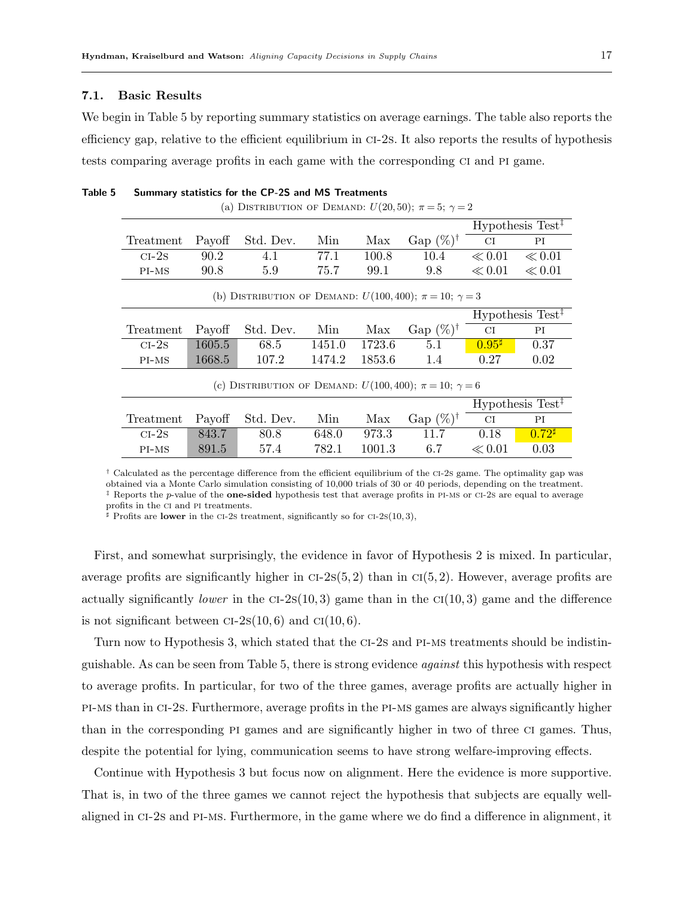#### 7.1. Basic Results

We begin in Table 5 by reporting summary statistics on average earnings. The table also reports the efficiency gap, relative to the efficient equilibrium in ci-2s. It also reports the results of hypothesis tests comparing average profits in each game with the corresponding ci and pi game.

| (a) DISTRIBUTION OF DEMAND: $U(20,50)$ ; $\pi = 5$ ; $\gamma = 2$ |                                                                       |           |        |        |                      |                 |                                                    |  |
|-------------------------------------------------------------------|-----------------------------------------------------------------------|-----------|--------|--------|----------------------|-----------------|----------------------------------------------------|--|
| $Hypothesis Test$ <sup><math>\ddagger</math></sup>                |                                                                       |           |        |        |                      |                 |                                                    |  |
| Treatment                                                         | Payoff                                                                | Std. Dev. | Min    | Max    | Gap $(\%)^{\dagger}$ | CI              | PI                                                 |  |
| $CI-2s$                                                           | 90.2                                                                  | 4.1       | 77.1   | 100.8  | 10.4                 | $\ll 0.01$      | $\ll 0.01$                                         |  |
| PI-MS                                                             | 90.8                                                                  | 5.9       | 75.7   | 99.1   | 9.8                  | $\ll 0.01$      | $\ll 0.01$                                         |  |
|                                                                   | (b) DISTRIBUTION OF DEMAND: $U(100, 400)$ ; $\pi = 10$ ; $\gamma = 3$ |           |        |        |                      |                 |                                                    |  |
|                                                                   | Hypothesis Test <sup>‡</sup>                                          |           |        |        |                      |                 |                                                    |  |
| Treatment                                                         | Payoff                                                                | Std. Dev. | Min    | Max    | Gap $(\%)^{\dagger}$ | CI              | ΡI                                                 |  |
| $CI-2s$                                                           | 1605.5                                                                | 68.5      | 1451.0 | 1723.6 | 5.1                  | $0.95^{\sharp}$ | 0.37                                               |  |
| $PI-MS$                                                           | 1668.5                                                                | 107.2     | 1474.2 | 1853.6 | 1.4                  | 0.27            | 0.02                                               |  |
|                                                                   | (c) DISTRIBUTION OF DEMAND: $U(100, 400)$ ; $\pi = 10$ ; $\gamma = 6$ |           |        |        |                      |                 |                                                    |  |
|                                                                   |                                                                       |           |        |        |                      |                 | $Hypothesis Test$ <sup><math>\ddagger</math></sup> |  |
| Treatment                                                         | Payoff                                                                | Std. Dev. | Min    | Max    | Gap $(\%)^{\dagger}$ | СI              | PI                                                 |  |
| $CI-2s$                                                           | 843.7                                                                 | 80.8      | 648.0  | 973.3  | 11.7                 | 0.18            | $0.72$ <sup>#</sup>                                |  |
| PI-MS                                                             | 891.5                                                                 | 57.4      | 782.1  | 1001.3 | 6.7                  | $\ll 0.01$      | 0.03                                               |  |

Table 5 Summary statistics for the CP-2S and MS Treatments

<sup> $\dagger$ </sup> Calculated as the percentage difference from the efficient equilibrium of the CI-2s game. The optimality gap was obtained via a Monte Carlo simulation consisting of 10,000 trials of 30 or 40 periods, depending on the treatment. ‡ Reports the p-value of the one-sided hypothesis test that average profits in pi-ms or ci-2s are equal to average profits in the ci and pi treatments.

 $\sharp$  Profits are **lower** in the CI-2s treatment, significantly so for CI-2s(10,3),

First, and somewhat surprisingly, the evidence in favor of Hypothesis 2 is mixed. In particular, average profits are significantly higher in  $CI-2S(5, 2)$  than in  $CI(5, 2)$ . However, average profits are actually significantly *lower* in the  $CI-2s(10, 3)$  game than in the  $CI(10, 3)$  game and the difference is not significant between  $CI-2s(10, 6)$  and  $CI(10, 6)$ .

Turn now to Hypothesis 3, which stated that the ci-2s and pi-ms treatments should be indistinguishable. As can be seen from Table 5, there is strong evidence against this hypothesis with respect to average profits. In particular, for two of the three games, average profits are actually higher in pi-ms than in ci-2s. Furthermore, average profits in the pi-ms games are always significantly higher than in the corresponding pi games and are significantly higher in two of three ci games. Thus, despite the potential for lying, communication seems to have strong welfare-improving effects.

Continue with Hypothesis 3 but focus now on alignment. Here the evidence is more supportive. That is, in two of the three games we cannot reject the hypothesis that subjects are equally wellaligned in ci-2s and pi-ms. Furthermore, in the game where we do find a difference in alignment, it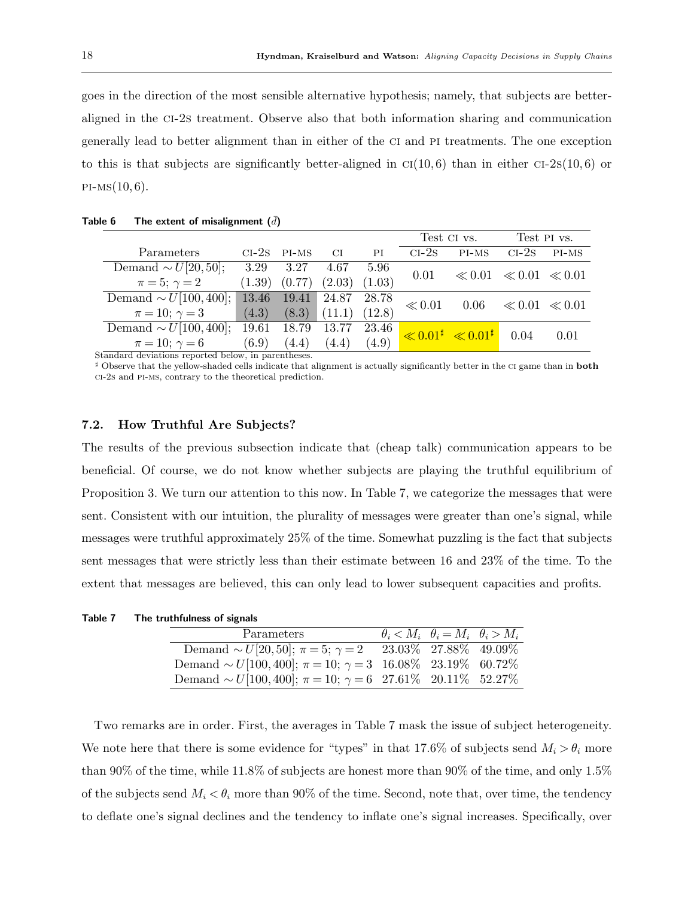goes in the direction of the most sensible alternative hypothesis; namely, that subjects are betteraligned in the ci-2s treatment. Observe also that both information sharing and communication generally lead to better alignment than in either of the ci and pi treatments. The one exception to this is that subjects are significantly better-aligned in  $C_I(10, 6)$  than in either  $C_I-2s(10, 6)$  or  $PI-MS(10, 6)$ .

|                             |         |             |        |        | Test CI vs. |                                                   | Test PI vs.                  |       |
|-----------------------------|---------|-------------|--------|--------|-------------|---------------------------------------------------|------------------------------|-------|
| Parameters                  | $CI-2s$ | $PI-MS$     | CI.    | PI     | $CI-2s$     | $PI-MS$                                           | $CI-2S$                      | PI-MS |
| Demand $\sim U[20, 50]$ ;   | 3.29    | 3.27        | 4.67   | 5.96   | 0.01        |                                                   | $\ll 0.01 \ll 0.01 \ll 0.01$ |       |
| $\pi = 5; \gamma = 2$       | (1.39)  | (0.77)      | (2.03) | (1.03) |             |                                                   |                              |       |
| Demand $\sim U[100, 400]$ ; |         | 13.46 19.41 | 24.87  | 28.78  | $\ll 0.01$  | 0.06                                              | $\ll 0.01 \ll 0.01$          |       |
| $\pi = 10; \gamma = 3$      | (4.3)   | (8.3)       | (11.1) | (12.8) |             |                                                   |                              |       |
| Demand $\sim U[100, 400]$ ; | 19.61   | 18.79       | 13.77  | 23.46  |             | $\vert\ll 0.01^\sharp \vert\ll 0.01^\sharp \vert$ | 0.04                         | 0.01  |
| $\pi = 10; \gamma = 6$      | (6.9)   | (4.4)       | (4.4)  | (4.9)  |             |                                                   |                              |       |

Table 6 The extent of misalignment  $(\bar{d})$ 

Standard deviations reported below, in parentheses.

 $\sharp$  Observe that the yellow-shaded cells indicate that alignment is actually significantly better in the CI game than in **both** ci-2s and pi-ms, contrary to the theoretical prediction.

### 7.2. How Truthful Are Subjects?

The results of the previous subsection indicate that (cheap talk) communication appears to be beneficial. Of course, we do not know whether subjects are playing the truthful equilibrium of Proposition 3. We turn our attention to this now. In Table 7, we categorize the messages that were sent. Consistent with our intuition, the plurality of messages were greater than one's signal, while messages were truthful approximately 25% of the time. Somewhat puzzling is the fact that subjects sent messages that were strictly less than their estimate between 16 and 23% of the time. To the extent that messages are believed, this can only lead to lower subsequent capacities and profits.

Table 7 The truthfulness of signals

| Parameters                                                                 | $\theta_i \langle M_i \mid \theta_i = M_i \mid \theta_i \rangle M_i$ |  |
|----------------------------------------------------------------------------|----------------------------------------------------------------------|--|
| Demand $\sim U[20, 50]$ ; $\pi = 5$ ; $\gamma = 2$ 23.03% 27.88% 49.09%    |                                                                      |  |
| Demand $\sim U[100, 400]$ ; $\pi = 10$ ; $\gamma = 3$ 16.08% 23.19% 60.72% |                                                                      |  |
| Demand $\sim U[100, 400]$ ; $\pi = 10$ ; $\gamma = 6$ 27.61% 20.11% 52.27% |                                                                      |  |

Two remarks are in order. First, the averages in Table 7 mask the issue of subject heterogeneity. We note here that there is some evidence for "types" in that 17.6% of subjects send  $M_i > \theta_i$  more than 90% of the time, while 11.8% of subjects are honest more than 90% of the time, and only 1.5% of the subjects send  $M_i < \theta_i$  more than 90% of the time. Second, note that, over time, the tendency to deflate one's signal declines and the tendency to inflate one's signal increases. Specifically, over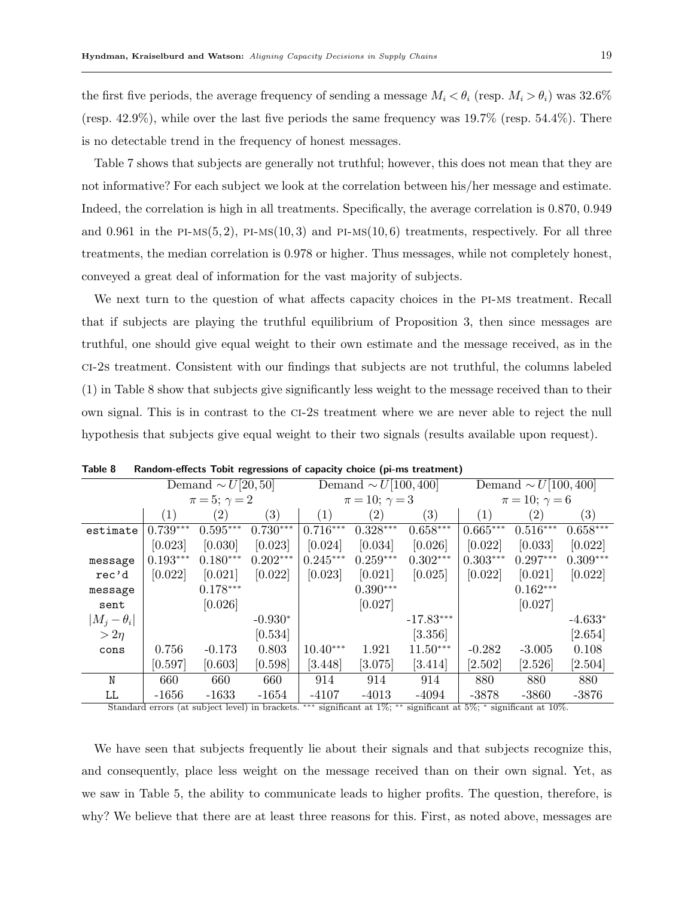the first five periods, the average frequency of sending a message  $M_i < \theta_i$  (resp.  $M_i > \theta_i$ ) was 32.6% (resp. 42.9%), while over the last five periods the same frequency was 19.7% (resp. 54.4%). There is no detectable trend in the frequency of honest messages.

Table 7 shows that subjects are generally not truthful; however, this does not mean that they are not informative? For each subject we look at the correlation between his/her message and estimate. Indeed, the correlation is high in all treatments. Specifically, the average correlation is 0.870, 0.949 and 0.961 in the PI-Ms $(5, 2)$ , PI-Ms $(10, 3)$  and PI-Ms $(10, 6)$  treatments, respectively. For all three treatments, the median correlation is 0.978 or higher. Thus messages, while not completely honest, conveyed a great deal of information for the vast majority of subjects.

We next turn to the question of what affects capacity choices in the PI-MS treatment. Recall that if subjects are playing the truthful equilibrium of Proposition 3, then since messages are truthful, one should give equal weight to their own estimate and the message received, as in the ci-2s treatment. Consistent with our findings that subjects are not truthful, the columns labeled (1) in Table 8 show that subjects give significantly less weight to the message received than to their own signal. This is in contrast to the ci-2s treatment where we are never able to reject the null hypothesis that subjects give equal weight to their two signals (results available upon request).

|                    |                       | Demand $\sim U[20,50]$ |            |                   | Demand $\sim U[100, 400]$ |             | Demand $\sim U[100, 400]$ |                   |                   |
|--------------------|-----------------------|------------------------|------------|-------------------|---------------------------|-------------|---------------------------|-------------------|-------------------|
|                    | $\pi = 5; \gamma = 2$ |                        |            |                   | $\pi = 10; \gamma = 3$    |             | $\pi = 10; \gamma = 6$    |                   |                   |
|                    | (1)                   | (2)                    | (3)        | $\left( 1\right)$ | $\left( 2\right)$         | (3)         | (1)                       | $\left( 2\right)$ | $\left( 3\right)$ |
| estimate           | $0.739***$            | $0.595***$             | $0.730***$ | $0.716***$        | $0.328***$                | $0.658***$  | $0.665***$                | $0.516***$        | $0.658***$        |
|                    | [0.023]               | [0.030]                | [0.023]    | [0.024]           | [0.034]                   | [0.026]     | [0.022]                   | [0.033]           | [0.022]           |
| message            | $0.193***$            | $0.180***$             | $0.202***$ | $0.245***$        | $0.259***$                | $0.302***$  | $0.303***$                | $0.297***$        | $0.309***$        |
| rec'd              | [0.022]               | [0.021]                | [0.022]    | [0.023]           | [0.021]                   | [0.025]     | [0.022]                   | [0.021]           | [0.022]           |
| message            |                       | $0.178***$             |            |                   | $0.390***$                |             |                           | $0.162***$        |                   |
| sent               |                       | [0.026]                |            |                   | [0.027]                   |             |                           | [0.027]           |                   |
| $ M_j - \theta_i $ |                       |                        | $-0.930*$  |                   |                           | $-17.83***$ |                           |                   | $-4.633*$         |
| $> 2\eta$          |                       |                        | [0.534]    |                   |                           | [3.356]     |                           |                   | [2.654]           |
| cons               | 0.756                 | $-0.173$               | 0.803      | $10.40***$        | 1.921                     | $11.50***$  | $-0.282$                  | $-3.005$          | 0.108             |
|                    | [0.597]               | [0.603]                | [0.598]    | [3.448]           | $\left[ 3.075\right]$     | [3.414]     | [2.502]                   | [2.526]           | [2.504]           |
| N                  | 660                   | 660                    | 660        | 914               | 914                       | 914         | 880                       | 880               | 880               |
| LL                 | $-1656$               | $-1633$                | $-1654$    | $-4107$           | $-4013$                   | $-4094$     | $-3878$                   | $-3860$           | $-3876$           |
|                    |                       |                        |            |                   |                           |             |                           |                   |                   |

Table 8 Random-effects Tobit regressions of capacity choice (pi-ms treatment)

Standard errors (at subject level) in brackets. ∗∗∗ significant at 1%; ∗∗ significant at 5%; <sup>∗</sup> significant at 10%.

We have seen that subjects frequently lie about their signals and that subjects recognize this, and consequently, place less weight on the message received than on their own signal. Yet, as we saw in Table 5, the ability to communicate leads to higher profits. The question, therefore, is why? We believe that there are at least three reasons for this. First, as noted above, messages are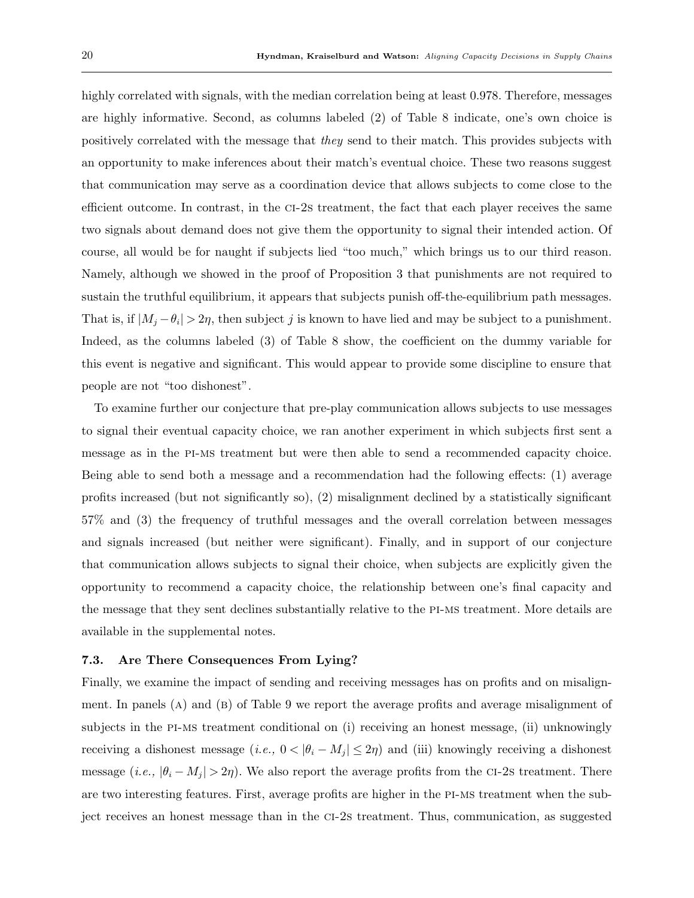highly correlated with signals, with the median correlation being at least 0.978. Therefore, messages are highly informative. Second, as columns labeled (2) of Table 8 indicate, one's own choice is positively correlated with the message that they send to their match. This provides subjects with an opportunity to make inferences about their match's eventual choice. These two reasons suggest that communication may serve as a coordination device that allows subjects to come close to the efficient outcome. In contrast, in the ci-2s treatment, the fact that each player receives the same two signals about demand does not give them the opportunity to signal their intended action. Of course, all would be for naught if subjects lied "too much," which brings us to our third reason. Namely, although we showed in the proof of Proposition 3 that punishments are not required to sustain the truthful equilibrium, it appears that subjects punish off-the-equilibrium path messages. That is, if  $|M_j - \theta_i| > 2\eta$ , then subject j is known to have lied and may be subject to a punishment. Indeed, as the columns labeled (3) of Table 8 show, the coefficient on the dummy variable for this event is negative and significant. This would appear to provide some discipline to ensure that people are not "too dishonest".

To examine further our conjecture that pre-play communication allows subjects to use messages to signal their eventual capacity choice, we ran another experiment in which subjects first sent a message as in the pi-ms treatment but were then able to send a recommended capacity choice. Being able to send both a message and a recommendation had the following effects: (1) average profits increased (but not significantly so), (2) misalignment declined by a statistically significant 57% and (3) the frequency of truthful messages and the overall correlation between messages and signals increased (but neither were significant). Finally, and in support of our conjecture that communication allows subjects to signal their choice, when subjects are explicitly given the opportunity to recommend a capacity choice, the relationship between one's final capacity and the message that they sent declines substantially relative to the pi-ms treatment. More details are available in the supplemental notes.

#### 7.3. Are There Consequences From Lying?

Finally, we examine the impact of sending and receiving messages has on profits and on misalignment. In panels (A) and (B) of Table 9 we report the average profits and average misalignment of subjects in the pi-ms treatment conditional on (i) receiving an honest message, (ii) unknowingly receiving a dishonest message  $(i.e., 0 < |\theta_i - M_j| \leq 2\eta)$  and (iii) knowingly receiving a dishonest message (i.e.,  $|\theta_i - M_j| > 2\eta$ ). We also report the average profits from the CI-2s treatment. There are two interesting features. First, average profits are higher in the pi-ms treatment when the subject receives an honest message than in the ci-2s treatment. Thus, communication, as suggested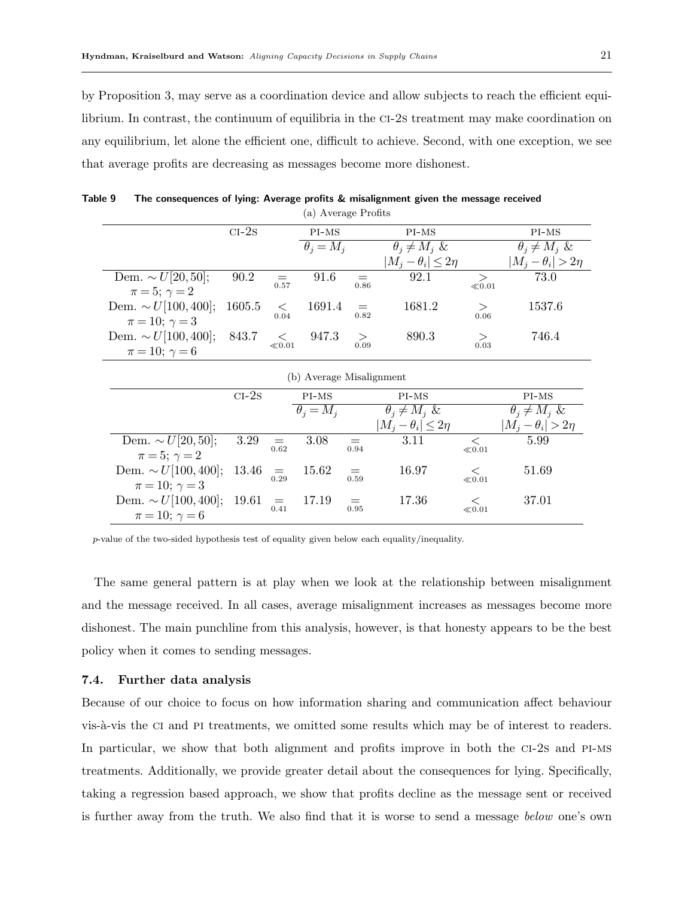by Proposition 3, may serve as a coordination device and allow subjects to reach the efficient equilibrium. In contrast, the continuum of equilibria in the ci-2s treatment may make coordination on any equilibrium, let alone the efficient one, difficult to achieve. Second, with one exception, we see that average profits are decreasing as messages become more dishonest.

|                           | $CI-2s$ |                             | $PI-MS$                     |                                   | PI-MS                            |                     | PI-MS                      |
|---------------------------|---------|-----------------------------|-----------------------------|-----------------------------------|----------------------------------|---------------------|----------------------------|
|                           |         |                             | $\overline{\theta_i} = M_i$ |                                   | $\theta_i \neq M_i$ &            |                     | $\theta_i \neq M_i$ &      |
|                           |         |                             |                             |                                   | $ M_i - \theta_i  \leq 2\eta$    |                     | $ M_i - \theta_i  > 2\eta$ |
| Dem. $\sim U[20, 50]$ ;   | 90.2    | $=$                         | 91.6                        | $=$                               | 92.1                             | $\geq$              | 73.0                       |
| $\pi = 5; \gamma = 2$     |         | 0.57                        |                             | 0.86                              |                                  | ${\ll}0.01$         |                            |
| Dem. $\sim U[100, 400]$ ; | 1605.5  | $\lt$                       | 1691.4                      | $_{0.82}^{-}$                     | 1681.2                           | $\geq$              | 1537.6                     |
| $\pi = 10; \gamma = 3$    |         | 0.04                        |                             |                                   |                                  | 0.06                |                            |
| Dem. $\sim U[100, 400]$ ; | 843.7   | $\leqslant$ <sub>0.01</sub> | 947.3                       | $\genfrac{}{}{0pt}{}{\sim}{0.09}$ | 890.3                            | $\geq$              | 746.4                      |
| $\pi = 10; \gamma = 6$    |         |                             |                             |                                   |                                  | 0.03                |                            |
|                           |         |                             |                             |                                   |                                  |                     |                            |
|                           |         |                             | (b) Average Misalignment    |                                   |                                  |                     |                            |
|                           | $CI-2s$ |                             | PI-MS                       |                                   | PI-MS                            |                     | PI-MS                      |
|                           |         |                             | $\theta_i = M_i$            |                                   | $\overline{\theta_i} \neq M_j$ & |                     | $\theta_i \neq M_i$ &      |
|                           |         |                             |                             |                                   | $ M_i - \theta_i  \leq 2\eta$    |                     | $ M_i - \theta_i  > 2\eta$ |
| Dem. $\sim U[20, 50]$ ;   | 3.29    | $=$<br>0.62                 | 3.08                        | $\!\!\!=\!\!\!$                   | 3.11                             | $\lt$               | 5.99                       |
| $\pi = 5; \gamma = 2$     |         |                             |                             | 0.94                              |                                  | $\ll 0.01$          |                            |
| Dem. $\sim U[100, 400]$ ; | 13.46   | $=$                         | 15.62                       | $=$                               | 16.97                            | $\lt$               | 51.69                      |
| $\pi = 10; \gamma = 3$    |         | 0.29                        |                             | 0.59                              |                                  | $\ll 0.01$          |                            |
|                           |         |                             |                             |                                   |                                  |                     |                            |
| Dem. $\sim U[100, 400]$ ; | 19.61   | $=$<br>0.41                 | 17.19                       | $=$<br>0.95                       | 17.36                            | $\lt$<br>$\ll 0.01$ | 37.01                      |

Table 9 The consequences of lying: Average profits & misalignment given the message received (a) Average Profits

p-value of the two-sided hypothesis test of equality given below each equality/inequality.

The same general pattern is at play when we look at the relationship between misalignment and the message received. In all cases, average misalignment increases as messages become more dishonest. The main punchline from this analysis, however, is that honesty appears to be the best policy when it comes to sending messages.

## 7.4. Further data analysis

Because of our choice to focus on how information sharing and communication affect behaviour vis- $\alpha$ -vis the CI and PI treatments, we omitted some results which may be of interest to readers. In particular, we show that both alignment and profits improve in both the ci-2s and pi-ms treatments. Additionally, we provide greater detail about the consequences for lying. Specifically, taking a regression based approach, we show that profits decline as the message sent or received is further away from the truth. We also find that it is worse to send a message below one's own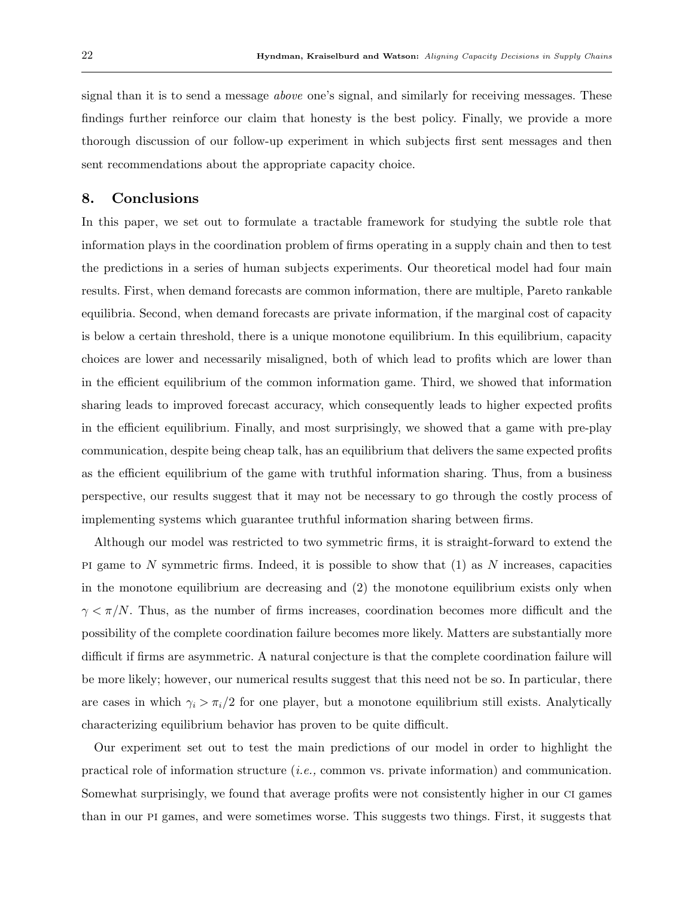signal than it is to send a message above one's signal, and similarly for receiving messages. These findings further reinforce our claim that honesty is the best policy. Finally, we provide a more thorough discussion of our follow-up experiment in which subjects first sent messages and then sent recommendations about the appropriate capacity choice.

# 8. Conclusions

In this paper, we set out to formulate a tractable framework for studying the subtle role that information plays in the coordination problem of firms operating in a supply chain and then to test the predictions in a series of human subjects experiments. Our theoretical model had four main results. First, when demand forecasts are common information, there are multiple, Pareto rankable equilibria. Second, when demand forecasts are private information, if the marginal cost of capacity is below a certain threshold, there is a unique monotone equilibrium. In this equilibrium, capacity choices are lower and necessarily misaligned, both of which lead to profits which are lower than in the efficient equilibrium of the common information game. Third, we showed that information sharing leads to improved forecast accuracy, which consequently leads to higher expected profits in the efficient equilibrium. Finally, and most surprisingly, we showed that a game with pre-play communication, despite being cheap talk, has an equilibrium that delivers the same expected profits as the efficient equilibrium of the game with truthful information sharing. Thus, from a business perspective, our results suggest that it may not be necessary to go through the costly process of implementing systems which guarantee truthful information sharing between firms.

Although our model was restricted to two symmetric firms, it is straight-forward to extend the PI game to N symmetric firms. Indeed, it is possible to show that  $(1)$  as N increases, capacities in the monotone equilibrium are decreasing and (2) the monotone equilibrium exists only when  $\gamma < \pi/N$ . Thus, as the number of firms increases, coordination becomes more difficult and the possibility of the complete coordination failure becomes more likely. Matters are substantially more difficult if firms are asymmetric. A natural conjecture is that the complete coordination failure will be more likely; however, our numerical results suggest that this need not be so. In particular, there are cases in which  $\gamma_i > \pi_i/2$  for one player, but a monotone equilibrium still exists. Analytically characterizing equilibrium behavior has proven to be quite difficult.

Our experiment set out to test the main predictions of our model in order to highlight the practical role of information structure (i.e., common vs. private information) and communication. Somewhat surprisingly, we found that average profits were not consistently higher in our ci games than in our pi games, and were sometimes worse. This suggests two things. First, it suggests that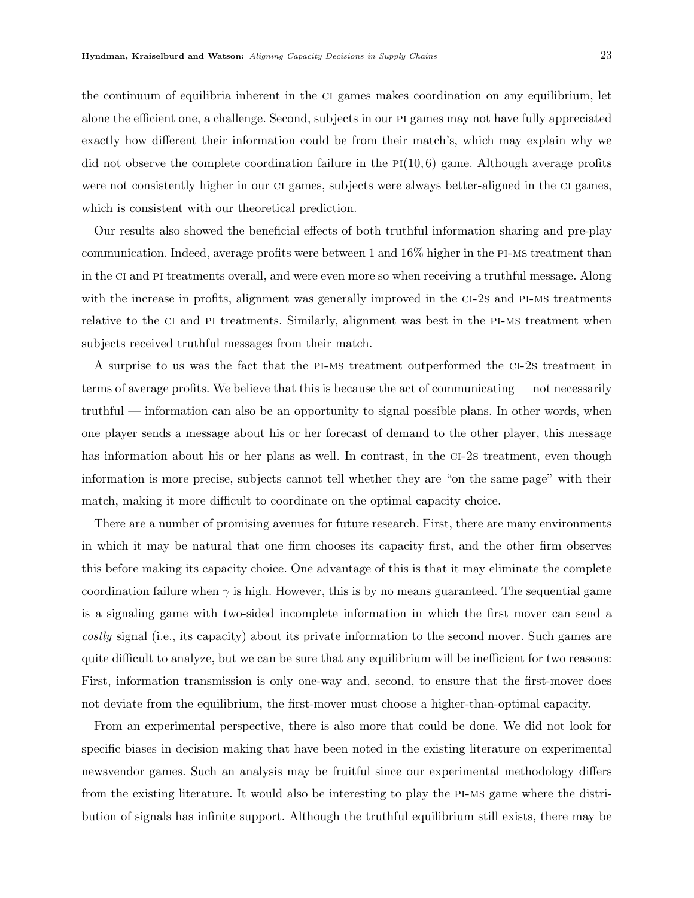the continuum of equilibria inherent in the ci games makes coordination on any equilibrium, let alone the efficient one, a challenge. Second, subjects in our pi games may not have fully appreciated exactly how different their information could be from their match's, which may explain why we did not observe the complete coordination failure in the  $PI(10, 6)$  game. Although average profits were not consistently higher in our ci games, subjects were always better-aligned in the ci games, which is consistent with our theoretical prediction.

Our results also showed the beneficial effects of both truthful information sharing and pre-play communication. Indeed, average profits were between 1 and 16% higher in the pi-ms treatment than in the ci and pi treatments overall, and were even more so when receiving a truthful message. Along with the increase in profits, alignment was generally improved in the CI-2s and PI-MS treatments relative to the CI and PI treatments. Similarly, alignment was best in the PI-MS treatment when subjects received truthful messages from their match.

A surprise to us was the fact that the pi-ms treatment outperformed the ci-2s treatment in terms of average profits. We believe that this is because the act of communicating — not necessarily truthful — information can also be an opportunity to signal possible plans. In other words, when one player sends a message about his or her forecast of demand to the other player, this message has information about his or her plans as well. In contrast, in the CI-2s treatment, even though information is more precise, subjects cannot tell whether they are "on the same page" with their match, making it more difficult to coordinate on the optimal capacity choice.

There are a number of promising avenues for future research. First, there are many environments in which it may be natural that one firm chooses its capacity first, and the other firm observes this before making its capacity choice. One advantage of this is that it may eliminate the complete coordination failure when  $\gamma$  is high. However, this is by no means guaranteed. The sequential game is a signaling game with two-sided incomplete information in which the first mover can send a costly signal (i.e., its capacity) about its private information to the second mover. Such games are quite difficult to analyze, but we can be sure that any equilibrium will be inefficient for two reasons: First, information transmission is only one-way and, second, to ensure that the first-mover does not deviate from the equilibrium, the first-mover must choose a higher-than-optimal capacity.

From an experimental perspective, there is also more that could be done. We did not look for specific biases in decision making that have been noted in the existing literature on experimental newsvendor games. Such an analysis may be fruitful since our experimental methodology differs from the existing literature. It would also be interesting to play the pi-ms game where the distribution of signals has infinite support. Although the truthful equilibrium still exists, there may be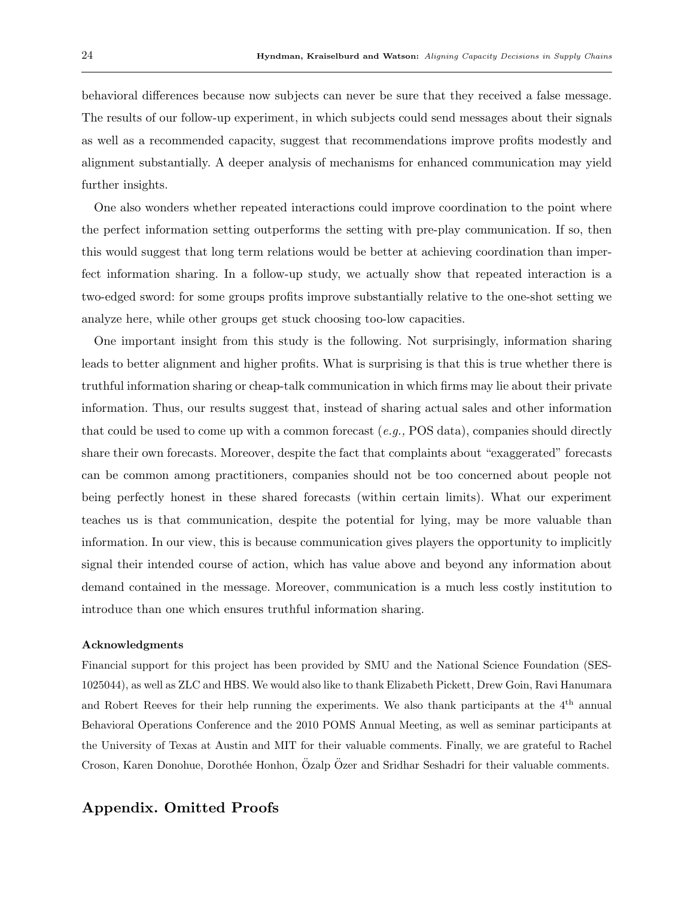behavioral differences because now subjects can never be sure that they received a false message. The results of our follow-up experiment, in which subjects could send messages about their signals as well as a recommended capacity, suggest that recommendations improve profits modestly and alignment substantially. A deeper analysis of mechanisms for enhanced communication may yield further insights.

One also wonders whether repeated interactions could improve coordination to the point where the perfect information setting outperforms the setting with pre-play communication. If so, then this would suggest that long term relations would be better at achieving coordination than imperfect information sharing. In a follow-up study, we actually show that repeated interaction is a two-edged sword: for some groups profits improve substantially relative to the one-shot setting we analyze here, while other groups get stuck choosing too-low capacities.

One important insight from this study is the following. Not surprisingly, information sharing leads to better alignment and higher profits. What is surprising is that this is true whether there is truthful information sharing or cheap-talk communication in which firms may lie about their private information. Thus, our results suggest that, instead of sharing actual sales and other information that could be used to come up with a common forecast  $(e.g., POS data)$ , companies should directly share their own forecasts. Moreover, despite the fact that complaints about "exaggerated" forecasts can be common among practitioners, companies should not be too concerned about people not being perfectly honest in these shared forecasts (within certain limits). What our experiment teaches us is that communication, despite the potential for lying, may be more valuable than information. In our view, this is because communication gives players the opportunity to implicitly signal their intended course of action, which has value above and beyond any information about demand contained in the message. Moreover, communication is a much less costly institution to introduce than one which ensures truthful information sharing.

#### Acknowledgments

Financial support for this project has been provided by SMU and the National Science Foundation (SES-1025044), as well as ZLC and HBS. We would also like to thank Elizabeth Pickett, Drew Goin, Ravi Hanumara and Robert Reeves for their help running the experiments. We also thank participants at the 4th annual Behavioral Operations Conference and the 2010 POMS Annual Meeting, as well as seminar participants at the University of Texas at Austin and MIT for their valuable comments. Finally, we are grateful to Rachel Croson, Karen Donohue, Dorothée Honhon, Özalp Özer and Sridhar Seshadri for their valuable comments.

# Appendix. Omitted Proofs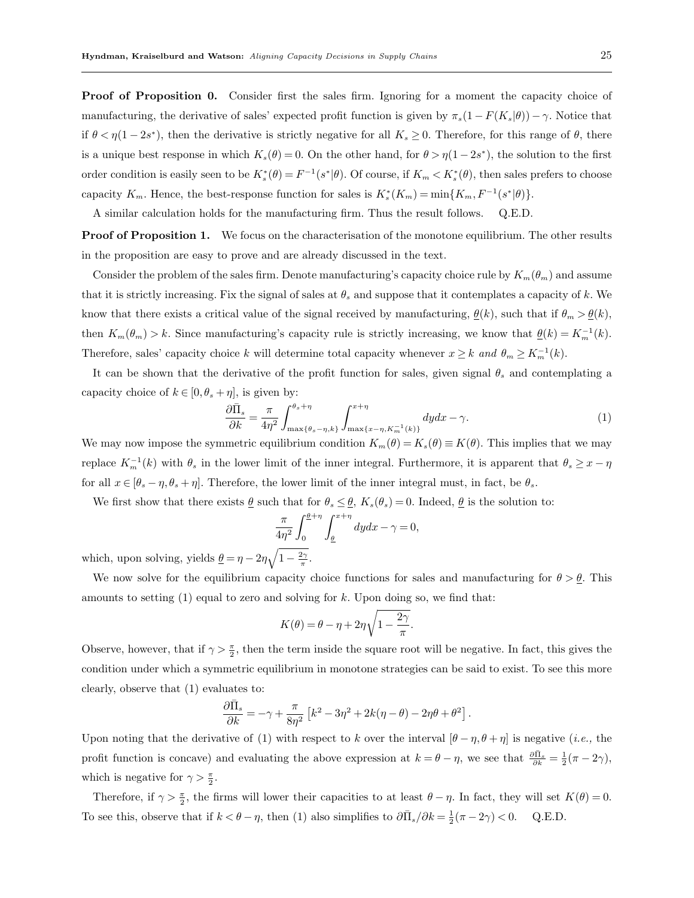Proof of Proposition 0. Consider first the sales firm. Ignoring for a moment the capacity choice of manufacturing, the derivative of sales' expected profit function is given by  $\pi_s(1 - F(K_s|\theta)) - \gamma$ . Notice that if  $\theta < \eta (1-2s^*)$ , then the derivative is strictly negative for all  $K_s \geq 0$ . Therefore, for this range of  $\theta$ , there is a unique best response in which  $K_s(\theta) = 0$ . On the other hand, for  $\theta > \eta(1-2s^*)$ , the solution to the first order condition is easily seen to be  $K_s^*(\theta) = F^{-1}(s^*|\theta)$ . Of course, if  $K_m < K_s^*(\theta)$ , then sales prefers to choose capacity  $K_m$ . Hence, the best-response function for sales is  $K_s^*(K_m) = \min\{K_m, F^{-1}(s^*|\theta)\}.$ 

A similar calculation holds for the manufacturing firm. Thus the result follows. Q.E.D.

**Proof of Proposition 1.** We focus on the characterisation of the monotone equilibrium. The other results in the proposition are easy to prove and are already discussed in the text.

Consider the problem of the sales firm. Denote manufacturing's capacity choice rule by  $K_m(\theta_m)$  and assume that it is strictly increasing. Fix the signal of sales at  $\theta_s$  and suppose that it contemplates a capacity of k. We know that there exists a critical value of the signal received by manufacturing,  $\underline{\theta}(k)$ , such that if  $\theta_m > \underline{\theta}(k)$ , then  $K_m(\theta_m) > k$ . Since manufacturing's capacity rule is strictly increasing, we know that  $\underline{\theta}(k) = K_m^{-1}(k)$ . Therefore, sales' capacity choice k will determine total capacity whenever  $x \geq k$  and  $\theta_m \geq K_m^{-1}(k)$ .

It can be shown that the derivative of the profit function for sales, given signal  $\theta_s$  and contemplating a capacity choice of  $k \in [0, \theta_s + \eta]$ , is given by:

$$
\frac{\partial \bar{\Pi}_s}{\partial k} = \frac{\pi}{4\eta^2} \int_{\max\{\theta_s - \eta, k\}}^{\theta_s + \eta} \int_{\max\{x - \eta, K_m^{-1}(k)\}}^{x + \eta} dy dx - \gamma.
$$
\n(1)

We may now impose the symmetric equilibrium condition  $K_m(\theta) = K_s(\theta) \equiv K(\theta)$ . This implies that we may replace  $K_m^{-1}(k)$  with  $\theta_s$  in the lower limit of the inner integral. Furthermore, it is apparent that  $\theta_s \geq x - \eta$ for all  $x \in [\theta_s - \eta, \theta_s + \eta]$ . Therefore, the lower limit of the inner integral must, in fact, be  $\theta_s$ .

We first show that there exists  $\underline{\theta}$  such that for  $\theta_s \leq \underline{\theta}, K_s(\theta_s) = 0$ . Indeed,  $\underline{\theta}$  is the solution to:

$$
\frac{\pi}{4\eta^2} \int_0^{\frac{\theta}{2}+\eta} \int_{\frac{\theta}{2}}^{x+\eta} dy dx - \gamma = 0,
$$

which, upon solving, yields  $\underline{\theta} = \eta - 2\eta \sqrt{1 - \frac{2\gamma}{\pi}}$ .

We now solve for the equilibrium capacity choice functions for sales and manufacturing for  $\theta > \underline{\theta}$ . This amounts to setting  $(1)$  equal to zero and solving for k. Upon doing so, we find that:

$$
K(\theta) = \theta - \eta + 2\eta \sqrt{1 - \frac{2\gamma}{\pi}}.
$$

Observe, however, that if  $\gamma > \frac{\pi}{2}$ , then the term inside the square root will be negative. In fact, this gives the condition under which a symmetric equilibrium in monotone strategies can be said to exist. To see this more clearly, observe that (1) evaluates to:

$$
\frac{\partial\bar{\Pi}_s}{\partial k}=-\gamma+\frac{\pi}{8\eta^2}\left[k^2-3\eta^2+2k(\eta-\theta)-2\eta\theta+\theta^2\right].
$$

Upon noting that the derivative of (1) with respect to k over the interval  $[\theta - \eta, \theta + \eta]$  is negative (*i.e.*, the profit function is concave) and evaluating the above expression at  $k = \theta - \eta$ , we see that  $\frac{\partial \bar{\Pi}_s}{\partial k} = \frac{1}{2}(\pi - 2\gamma)$ , which is negative for  $\gamma > \frac{\pi}{2}$ .

Therefore, if  $\gamma > \frac{\pi}{2}$ , the firms will lower their capacities to at least  $\theta - \eta$ . In fact, they will set  $K(\theta) = 0$ . To see this, observe that if  $k < \theta - \eta$ , then (1) also simplifies to  $\partial \overline{\Pi}_s / \partial k = \frac{1}{2} (\pi - 2\gamma) < 0$ . Q.E.D.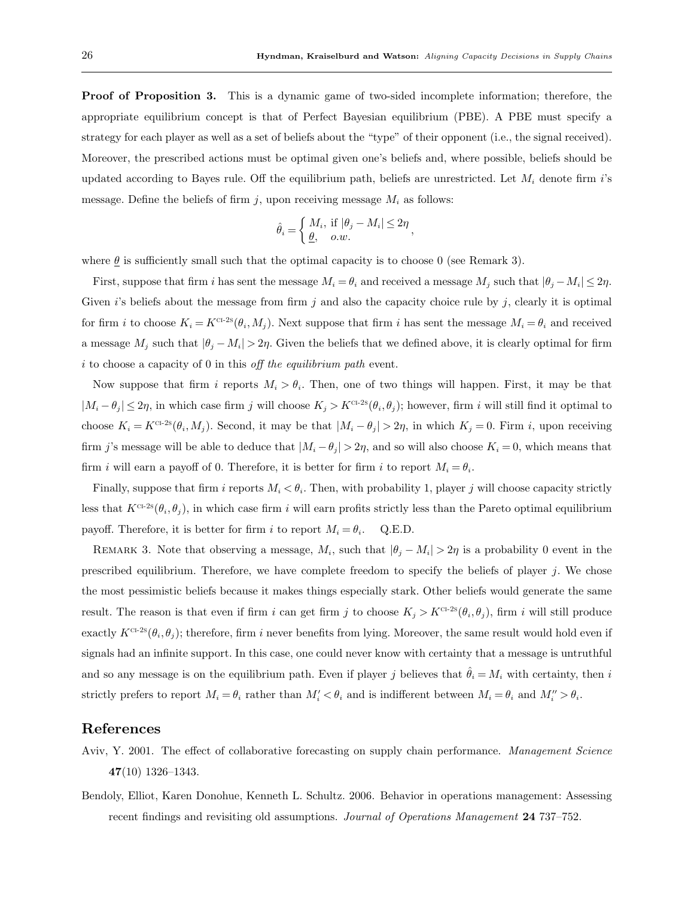**Proof of Proposition 3.** This is a dynamic game of two-sided incomplete information; therefore, the appropriate equilibrium concept is that of Perfect Bayesian equilibrium (PBE). A PBE must specify a strategy for each player as well as a set of beliefs about the "type" of their opponent (i.e., the signal received). Moreover, the prescribed actions must be optimal given one's beliefs and, where possible, beliefs should be updated according to Bayes rule. Off the equilibrium path, beliefs are unrestricted. Let  $M_i$  denote firm i's message. Define the beliefs of firm j, upon receiving message  $M_i$  as follows:

$$
\hat{\theta}_i = \begin{cases} M_i, & \text{if } |\theta_j - M_i| \le 2\eta \\ \underline{\theta}, & o.w. \end{cases}
$$

where  $\theta$  is sufficiently small such that the optimal capacity is to choose 0 (see Remark 3).

First, suppose that firm i has sent the message  $M_i = \theta_i$  and received a message  $M_j$  such that  $|\theta_j - M_i| \leq 2\eta$ . Given  $i$ 's beliefs about the message from firm j and also the capacity choice rule by  $j$ , clearly it is optimal for firm i to choose  $K_i = K^{\text{cr-2s}}(\theta_i, M_j)$ . Next suppose that firm i has sent the message  $M_i = \theta_i$  and received a message  $M_j$  such that  $|\theta_j - M_i| > 2\eta$ . Given the beliefs that we defined above, it is clearly optimal for firm  $i$  to choose a capacity of 0 in this off the equilibrium path event.

Now suppose that firm i reports  $M_i > \theta_i$ . Then, one of two things will happen. First, it may be that  $|M_i - \theta_j| \leq 2\eta$ , in which case firm j will choose  $K_j > K^{\text{CT-2s}}(\theta_i, \theta_j)$ ; however, firm i will still find it optimal to choose  $K_i = K^{\text{CL-2s}}(\theta_i, M_j)$ . Second, it may be that  $|M_i - \theta_j| > 2\eta$ , in which  $K_j = 0$ . Firm i, upon receiving firm j's message will be able to deduce that  $|M_i - \theta_j| > 2\eta$ , and so will also choose  $K_i = 0$ , which means that firm *i* will earn a payoff of 0. Therefore, it is better for firm *i* to report  $M_i = \theta_i$ .

Finally, suppose that firm i reports  $M_i < \theta_i$ . Then, with probability 1, player j will choose capacity strictly less that  $K^{c-2s}(\theta_i, \theta_j)$ , in which case firm i will earn profits strictly less than the Pareto optimal equilibrium payoff. Therefore, it is better for firm i to report  $M_i = \theta_i$ . Q.E.D.

REMARK 3. Note that observing a message,  $M_i$ , such that  $|\theta_j - M_i| > 2\eta$  is a probability 0 event in the prescribed equilibrium. Therefore, we have complete freedom to specify the beliefs of player  $j$ . We chose the most pessimistic beliefs because it makes things especially stark. Other beliefs would generate the same result. The reason is that even if firm i can get firm j to choose  $K_j > K^{\text{ct-2s}}(\theta_i, \theta_j)$ , firm i will still produce exactly  $K^{c_1-2s}(\theta_i, \theta_j)$ ; therefore, firm i never benefits from lying. Moreover, the same result would hold even if signals had an infinite support. In this case, one could never know with certainty that a message is untruthful and so any message is on the equilibrium path. Even if player j believes that  $\hat{\theta}_i = M_i$  with certainty, then i strictly prefers to report  $M_i = \theta_i$  rather than  $M'_i < \theta_i$  and is indifferent between  $M_i = \theta_i$  and  $M''_i > \theta_i$ .

## References

- Aviv, Y. 2001. The effect of collaborative forecasting on supply chain performance. Management Science 47(10) 1326–1343.
- Bendoly, Elliot, Karen Donohue, Kenneth L. Schultz. 2006. Behavior in operations management: Assessing recent findings and revisiting old assumptions. Journal of Operations Management 24 737–752.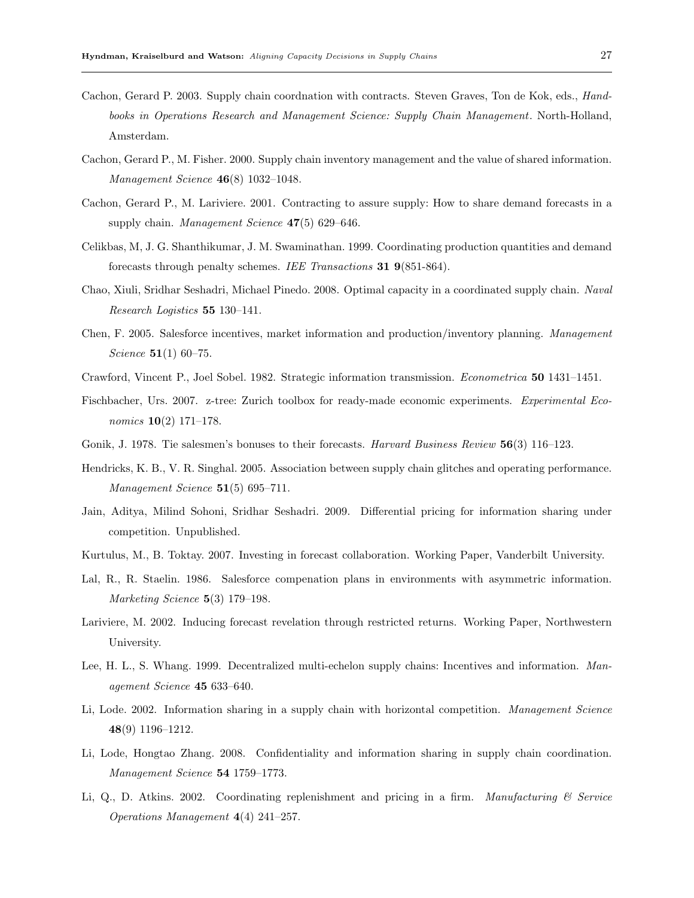- Cachon, Gerard P. 2003. Supply chain coordnation with contracts. Steven Graves, Ton de Kok, eds., Handbooks in Operations Research and Management Science: Supply Chain Management. North-Holland, Amsterdam.
- Cachon, Gerard P., M. Fisher. 2000. Supply chain inventory management and the value of shared information. Management Science 46(8) 1032–1048.
- Cachon, Gerard P., M. Lariviere. 2001. Contracting to assure supply: How to share demand forecasts in a supply chain. Management Science  $47(5)$  629–646.
- Celikbas, M, J. G. Shanthikumar, J. M. Swaminathan. 1999. Coordinating production quantities and demand forecasts through penalty schemes. IEE Transactions 31 9(851-864).
- Chao, Xiuli, Sridhar Seshadri, Michael Pinedo. 2008. Optimal capacity in a coordinated supply chain. Naval Research Logistics 55 130–141.
- Chen, F. 2005. Salesforce incentives, market information and production/inventory planning. Management Science **51**(1) 60–75.
- Crawford, Vincent P., Joel Sobel. 1982. Strategic information transmission. Econometrica 50 1431–1451.
- Fischbacher, Urs. 2007. z-tree: Zurich toolbox for ready-made economic experiments. Experimental Eco*nomics*  $10(2)$  171–178.
- Gonik, J. 1978. Tie salesmen's bonuses to their forecasts. Harvard Business Review 56(3) 116–123.
- Hendricks, K. B., V. R. Singhal. 2005. Association between supply chain glitches and operating performance. Management Science 51(5) 695-711.
- Jain, Aditya, Milind Sohoni, Sridhar Seshadri. 2009. Differential pricing for information sharing under competition. Unpublished.
- Kurtulus, M., B. Toktay. 2007. Investing in forecast collaboration. Working Paper, Vanderbilt University.
- Lal, R., R. Staelin. 1986. Salesforce compenation plans in environments with asymmetric information. Marketing Science 5(3) 179-198.
- Lariviere, M. 2002. Inducing forecast revelation through restricted returns. Working Paper, Northwestern University.
- Lee, H. L., S. Whang. 1999. Decentralized multi-echelon supply chains: Incentives and information. Management Science 45 633–640.
- Li, Lode. 2002. Information sharing in a supply chain with horizontal competition. Management Science 48(9) 1196–1212.
- Li, Lode, Hongtao Zhang. 2008. Confidentiality and information sharing in supply chain coordination. Management Science 54 1759–1773.
- Li, Q., D. Atkins. 2002. Coordinating replenishment and pricing in a firm. Manufacturing  $\mathcal C$  Service Operations Management 4(4) 241–257.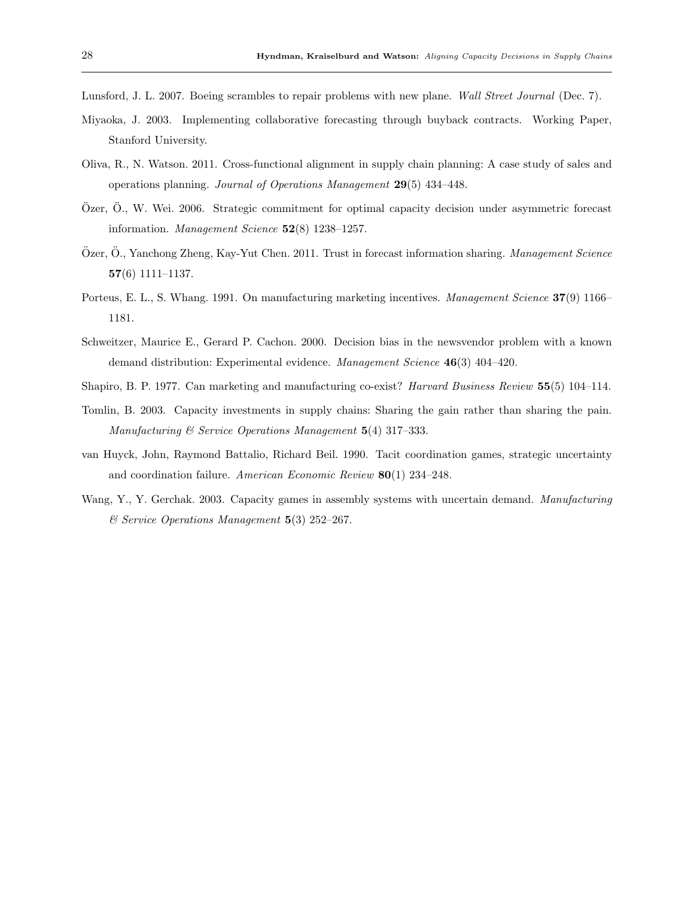Lunsford, J. L. 2007. Boeing scrambles to repair problems with new plane. Wall Street Journal (Dec. 7).

- Miyaoka, J. 2003. Implementing collaborative forecasting through buyback contracts. Working Paper, Stanford University.
- Oliva, R., N. Watson. 2011. Cross-functional alignment in supply chain planning: A case study of sales and operations planning. Journal of Operations Management 29(5) 434–448.
- Özer, Ö., W. Wei. 2006. Strategic commitment for optimal capacity decision under asymmetric forecast information. Management Science 52(8) 1238–1257.
- Özer, Ö., Yanchong Zheng, Kay-Yut Chen. 2011. Trust in forecast information sharing. Management Science 57(6) 1111–1137.
- Porteus, E. L., S. Whang. 1991. On manufacturing marketing incentives. Management Science 37(9) 1166– 1181.
- Schweitzer, Maurice E., Gerard P. Cachon. 2000. Decision bias in the newsvendor problem with a known demand distribution: Experimental evidence. Management Science 46(3) 404-420.
- Shapiro, B. P. 1977. Can marketing and manufacturing co-exist? *Harvard Business Review* 55(5) 104–114.
- Tomlin, B. 2003. Capacity investments in supply chains: Sharing the gain rather than sharing the pain. Manufacturing & Service Operations Management 5(4) 317–333.
- van Huyck, John, Raymond Battalio, Richard Beil. 1990. Tacit coordination games, strategic uncertainty and coordination failure. American Economic Review 80(1) 234–248.
- Wang, Y., Y. Gerchak. 2003. Capacity games in assembly systems with uncertain demand. Manufacturing & Service Operations Management 5(3) 252–267.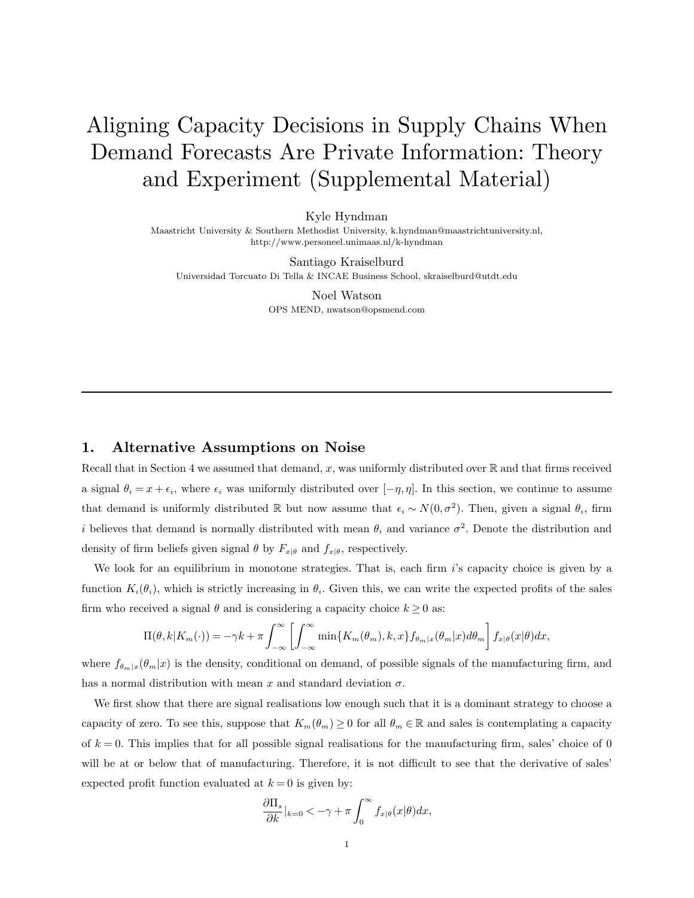# Aligning Capacity Decisions in Supply Chains When Demand Forecasts Are Private Information: Theory and Experiment (Supplemental Material)

Kyle Hyndman

Maastricht University & Southern Methodist University, k.hyndman@maastrichtuniversity.nl, http://www.personeel.unimaas.nl/k-hyndman

Santiago Kraiselburd Universidad Torcuato Di Tella & INCAE Business School, skraiselburd@utdt.edu

> Noel Watson OPS MEND, nwatson@opsmend.com

# 1. Alternative Assumptions on Noise

Recall that in Section 4 we assumed that demand, x, was uniformly distributed over  $\mathbb R$  and that firms received a signal  $\theta_i = x + \epsilon_i$ , where  $\epsilon_i$  was uniformly distributed over  $[-\eta, \eta]$ . In this section, we continue to assume that demand is uniformly distributed R but now assume that  $\epsilon_i \sim N(0, \sigma^2)$ . Then, given a signal  $\theta_i$ , firm i believes that demand is normally distributed with mean  $\theta_i$  and variance  $\sigma^2$ . Denote the distribution and density of firm beliefs given signal  $\theta$  by  $F_{x|\theta}$  and  $f_{x|\theta}$ , respectively.

We look for an equilibrium in monotone strategies. That is, each firm  $i$ 's capacity choice is given by a function  $K_i(\theta_i)$ , which is strictly increasing in  $\theta_i$ . Given this, we can write the expected profits of the sales firm who received a signal  $\theta$  and is considering a capacity choice  $k \geq 0$  as:

$$
\Pi(\theta, k | K_m(\cdot)) = -\gamma k + \pi \int_{-\infty}^{\infty} \left[ \int_{-\infty}^{\infty} \min\{K_m(\theta_m), k, x\} f_{\theta_m|x}(\theta_m|x) d\theta_m \right] f_{x|\theta}(x|\theta) dx,
$$

where  $f_{\theta_m|x}(\theta_m|x)$  is the density, conditional on demand, of possible signals of the manufacturing firm, and has a normal distribution with mean x and standard deviation  $\sigma$ .

We first show that there are signal realisations low enough such that it is a dominant strategy to choose a capacity of zero. To see this, suppose that  $K_m(\theta_m) \geq 0$  for all  $\theta_m \in \mathbb{R}$  and sales is contemplating a capacity of  $k = 0$ . This implies that for all possible signal realisations for the manufacturing firm, sales' choice of 0 will be at or below that of manufacturing. Therefore, it is not difficult to see that the derivative of sales' expected profit function evaluated at  $k = 0$  is given by:

$$
\frac{\partial \Pi_s}{\partial k}|_{k=0} < -\gamma + \pi \int_0^\infty f_{x|\theta}(x|\theta) dx,
$$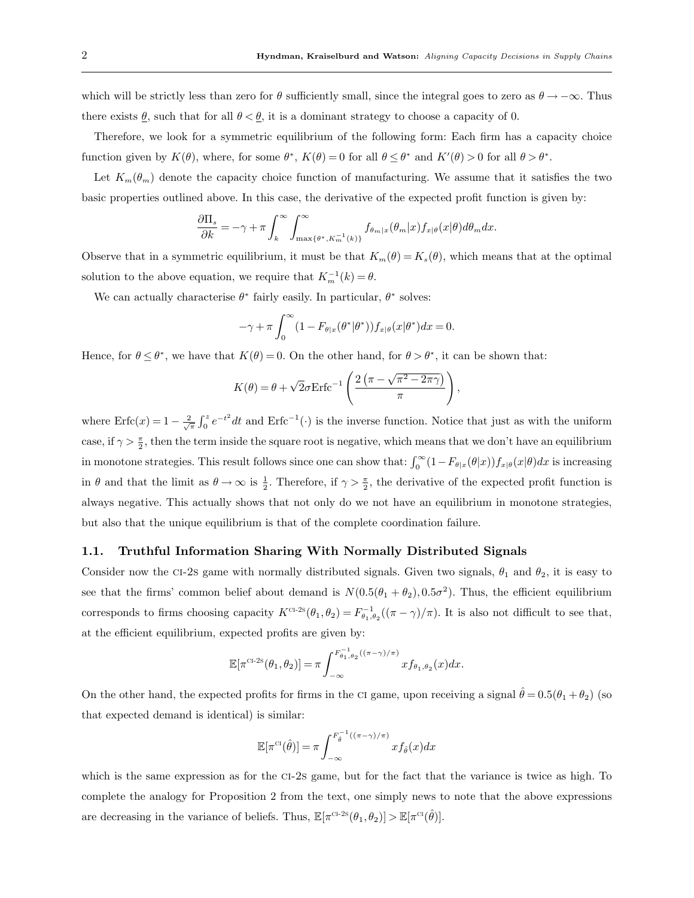which will be strictly less than zero for  $\theta$  sufficiently small, since the integral goes to zero as  $\theta \to -\infty$ . Thus there exists  $\underline{\theta}$ , such that for all  $\theta < \underline{\theta}$ , it is a dominant strategy to choose a capacity of 0.

Therefore, we look for a symmetric equilibrium of the following form: Each firm has a capacity choice function given by  $K(\theta)$ , where, for some  $\theta^*$ ,  $K(\theta) = 0$  for all  $\theta \le \theta^*$  and  $K'(\theta) > 0$  for all  $\theta > \theta^*$ .

Let  $K_m(\theta_m)$  denote the capacity choice function of manufacturing. We assume that it satisfies the two basic properties outlined above. In this case, the derivative of the expected profit function is given by:

$$
\frac{\partial \Pi_s}{\partial k} = -\gamma + \pi \int_k^{\infty} \int_{\max\{\theta^*, K_m^{-1}(k)\}}^{\infty} f_{\theta_m|x}(\theta_m|x) f_{x|\theta}(x|\theta) d\theta_m dx.
$$

Observe that in a symmetric equilibrium, it must be that  $K_m(\theta) = K_s(\theta)$ , which means that at the optimal solution to the above equation, we require that  $K_m^{-1}(k) = \theta$ .

We can actually characterise  $\theta^*$  fairly easily. In particular,  $\theta^*$  solves:

$$
-\gamma + \pi \int_0^\infty (1 - F_{\theta|x}(\theta^*) f_{x|\theta}(x|\theta^*)) f_{x|\theta}(x|\theta^*) dx = 0.
$$

Hence, for  $\theta \leq \theta^*$ , we have that  $K(\theta) = 0$ . On the other hand, for  $\theta > \theta^*$ , it can be shown that:

$$
K(\theta) = \theta + \sqrt{2}\sigma \text{Erfc}^{-1} \left( \frac{2\left(\pi - \sqrt{\pi^2 - 2\pi\gamma}\right)}{\pi} \right),
$$

where  $\text{Erfc}(x) = 1 - \frac{2}{\sqrt{\pi}} \int_0^x e^{-t^2} dt$  and  $\text{Erfc}^{-1}(\cdot)$  is the inverse function. Notice that just as with the uniform case, if  $\gamma > \frac{\pi}{2}$ , then the term inside the square root is negative, which means that we don't have an equilibrium in monotone strategies. This result follows since one can show that:  $\int_0^\infty (1 - F_{\theta|x}(\theta|x)) f_{x|\theta}(x|\theta) dx$  is increasing in  $\theta$  and that the limit as  $\theta \to \infty$  is  $\frac{1}{2}$ . Therefore, if  $\gamma > \frac{\pi}{2}$ , the derivative of the expected profit function is always negative. This actually shows that not only do we not have an equilibrium in monotone strategies, but also that the unique equilibrium is that of the complete coordination failure.

#### 1.1. Truthful Information Sharing With Normally Distributed Signals

Consider now the ci-2s game with normally distributed signals. Given two signals,  $\theta_1$  and  $\theta_2$ , it is easy to see that the firms' common belief about demand is  $N(0.5(\theta_1 + \theta_2), 0.5\sigma^2)$ . Thus, the efficient equilibrium corresponds to firms choosing capacity  $K^{C^{1,2S}}(\theta_1, \theta_2) = F_{\theta_1, \theta_2}^{-1}((\pi - \gamma)/\pi)$ . It is also not difficult to see that, at the efficient equilibrium, expected profits are given by:

$$
\mathbb{E}[\pi^{\text{CI-2S}}(\theta_1, \theta_2)] = \pi \int_{-\infty}^{F_{\theta_1, \theta_2}^{-1}((\pi - \gamma)/\pi)} x f_{\theta_1, \theta_2}(x) dx.
$$

On the other hand, the expected profits for firms in the CI game, upon receiving a signal  $\hat{\theta} = 0.5(\theta_1 + \theta_2)$  (so that expected demand is identical) is similar:

$$
\mathbb{E}[\pi^{\mathrm{CI}}(\hat{\theta})] = \pi \int_{-\infty}^{F_{\hat{\theta}}^{-1}((\pi - \gamma)/\pi)} x f_{\hat{\theta}}(x) dx
$$

which is the same expression as for the CI-2s game, but for the fact that the variance is twice as high. To complete the analogy for Proposition 2 from the text, one simply news to note that the above expressions are decreasing in the variance of beliefs. Thus,  $\mathbb{E}[\pi^{\text{cr-2s}}(\theta_1, \theta_2)] > \mathbb{E}[\pi^{\text{cr}}(\hat{\theta})].$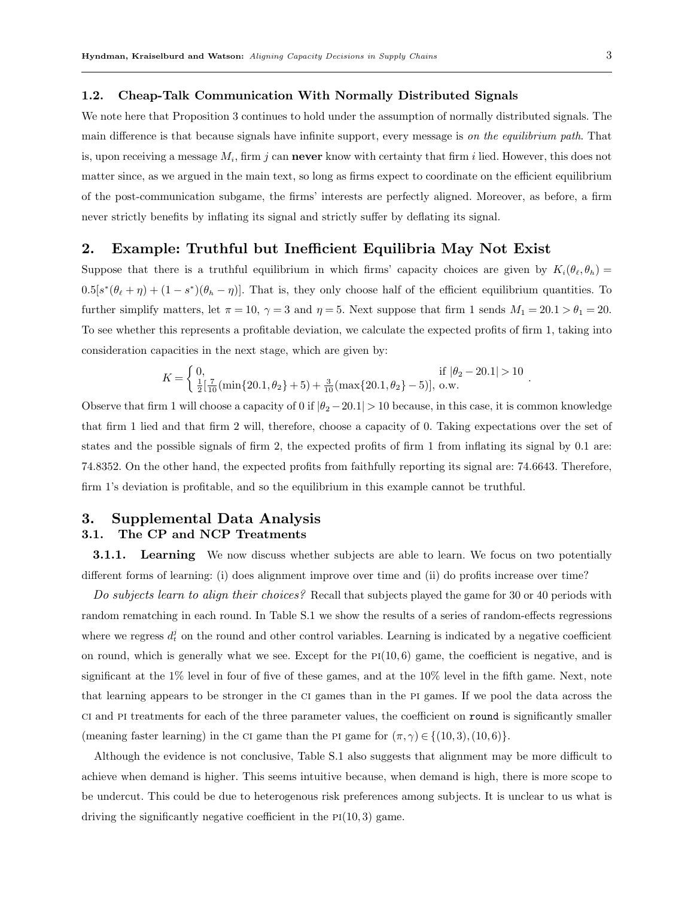#### 1.2. Cheap-Talk Communication With Normally Distributed Signals

We note here that Proposition 3 continues to hold under the assumption of normally distributed signals. The main difference is that because signals have infinite support, every message is on the equilibrium path. That is, upon receiving a message  $M_i$ , firm j can **never** know with certainty that firm i lied. However, this does not matter since, as we argued in the main text, so long as firms expect to coordinate on the efficient equilibrium of the post-communication subgame, the firms' interests are perfectly aligned. Moreover, as before, a firm never strictly benefits by inflating its signal and strictly suffer by deflating its signal.

# 2. Example: Truthful but Inefficient Equilibria May Not Exist

Suppose that there is a truthful equilibrium in which firms' capacity choices are given by  $K_i(\theta_\ell, \theta_h) =$  $0.5[s^*(\theta_\ell + \eta) + (1 - s^*)(\theta_h - \eta)].$  That is, they only choose half of the efficient equilibrium quantities. To further simplify matters, let  $\pi = 10$ ,  $\gamma = 3$  and  $\eta = 5$ . Next suppose that firm 1 sends  $M_1 = 20.1 > \theta_1 = 20$ . To see whether this represents a profitable deviation, we calculate the expected profits of firm 1, taking into consideration capacities in the next stage, which are given by:

$$
K = \left\{ \begin{array}{ll} 0, & \mbox{if } |\theta_2 - 20.1| > 10 \\ \frac{1}{2}[\frac{7}{10}(\min\{20.1, \theta_2\} + 5) + \frac{3}{10}(\max\{20.1, \theta_2\} - 5)], ~\mbox{o.w.} \end{array} \right. .
$$

Observe that firm 1 will choose a capacity of 0 if  $\left|\theta_2 - 20.1\right| > 10$  because, in this case, it is common knowledge that firm 1 lied and that firm 2 will, therefore, choose a capacity of 0. Taking expectations over the set of states and the possible signals of firm 2, the expected profits of firm 1 from inflating its signal by 0.1 are: 74.8352. On the other hand, the expected profits from faithfully reporting its signal are: 74.6643. Therefore, firm 1's deviation is profitable, and so the equilibrium in this example cannot be truthful.

# 3. Supplemental Data Analysis 3.1. The CP and NCP Treatments

**3.1.1.** Learning We now discuss whether subjects are able to learn. We focus on two potentially different forms of learning: (i) does alignment improve over time and (ii) do profits increase over time?

Do subjects learn to align their choices? Recall that subjects played the game for 30 or 40 periods with random rematching in each round. In Table S.1 we show the results of a series of random-effects regressions where we regress  $d_t^j$  on the round and other control variables. Learning is indicated by a negative coefficient on round, which is generally what we see. Except for the  $PI(10, 6)$  game, the coefficient is negative, and is significant at the 1% level in four of five of these games, and at the 10% level in the fifth game. Next, note that learning appears to be stronger in the ci games than in the pi games. If we pool the data across the ci and pi treatments for each of the three parameter values, the coefficient on round is significantly smaller (meaning faster learning) in the CI game than the PI game for  $(\pi, \gamma) \in \{(10, 3), (10, 6)\}.$ 

Although the evidence is not conclusive, Table S.1 also suggests that alignment may be more difficult to achieve when demand is higher. This seems intuitive because, when demand is high, there is more scope to be undercut. This could be due to heterogenous risk preferences among subjects. It is unclear to us what is driving the significantly negative coefficient in the  $PI(10, 3)$  game.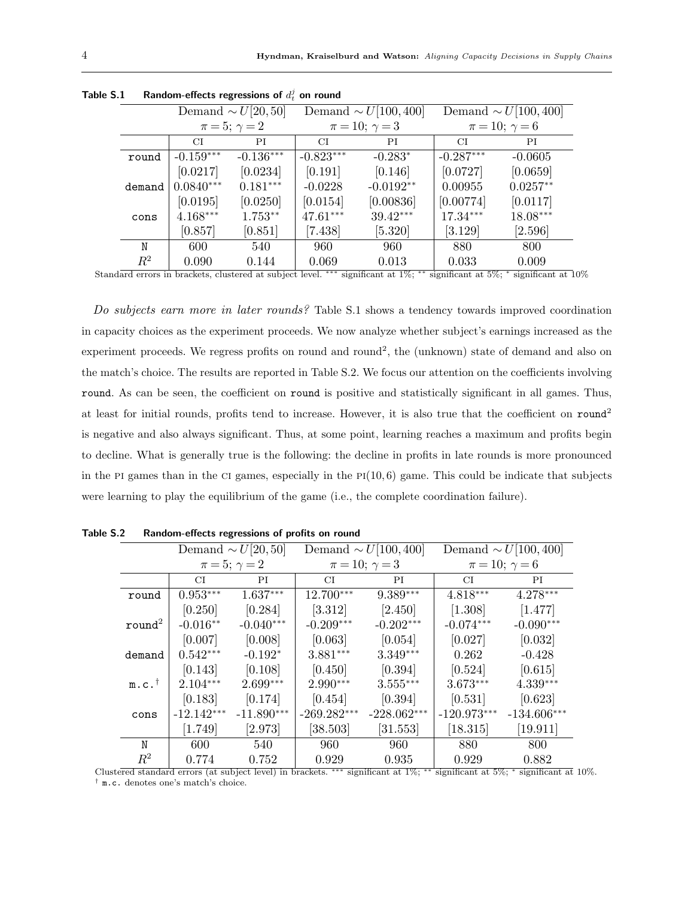|         | Demand $\sim U[20,50]$ |             |             | Demand $\sim U[100, 400]$ | Demand $\sim U[100, 400]$ |                        |  |  |
|---------|------------------------|-------------|-------------|---------------------------|---------------------------|------------------------|--|--|
|         | $\pi = 5; \gamma = 2$  |             |             | $\pi = 10; \gamma = 3$    |                           | $\pi = 10; \gamma = 6$ |  |  |
|         | СI                     | РI          | CI.         | PI                        | СI                        | ΡI                     |  |  |
| round   | $-0.159***$            | $-0.136***$ | $-0.823***$ | $-0.283*$                 | $-0.287***$               | $-0.0605$              |  |  |
|         | [0.0217]               | [0.0234]    | [0.191]     | [0.146]                   | [0.0727]                  | [0.0659]               |  |  |
| demand  | $0.0840***$            | $0.181***$  | $-0.0228$   | $-0.0192**$               | 0.00955                   | $0.0257**$             |  |  |
|         | [0.0195]               | [0.0250]    | [0.0154]    | [0.00836]                 | [0.00774]                 | [0.0117]               |  |  |
| cons    | $4.168***$             | 1.753**     | 47.61***    | $39.42***$                | $17.34***$                | 18.08***               |  |  |
|         | [0.857]                | [0.851]     | [7.438]     | [5.320]                   | [3.129]                   | [2.596]                |  |  |
| N       | 600                    | 540         | 960         | 960                       | 880                       | 800                    |  |  |
| $\,R^2$ | 0.090                  | 0.144       | 0.069       | 0.013                     | 0.033                     | 0.009                  |  |  |

| Table S.1 | Random-effects regressions of $d_t^j$ on round |  |  |  |  |  |
|-----------|------------------------------------------------|--|--|--|--|--|
|-----------|------------------------------------------------|--|--|--|--|--|

Standard errors in brackets, clustered at subject level. ∗∗∗ significant at 1%; ∗∗ significant at 5%; <sup>∗</sup> significant at 10%

Do subjects earn more in later rounds? Table S.1 shows a tendency towards improved coordination in capacity choices as the experiment proceeds. We now analyze whether subject's earnings increased as the experiment proceeds. We regress profits on round and round<sup>2</sup>, the (unknown) state of demand and also on the match's choice. The results are reported in Table S.2. We focus our attention on the coefficients involving round. As can be seen, the coefficient on round is positive and statistically significant in all games. Thus, at least for initial rounds, profits tend to increase. However, it is also true that the coefficient on round<sup>2</sup> is negative and also always significant. Thus, at some point, learning reaches a maximum and profits begin to decline. What is generally true is the following: the decline in profits in late rounds is more pronounced in the PI games than in the CI games, especially in the  $PI(10, 6)$  game. This could be indicate that subjects were learning to play the equilibrium of the game (i.e., the complete coordination failure).

|                     | Demand $\sim U[20,50]$ |              |                           | Demand $\sim U[100, 400]$ | Demand $\sim U[100, 400]$ |               |  |
|---------------------|------------------------|--------------|---------------------------|---------------------------|---------------------------|---------------|--|
|                     | $\pi = 5; \gamma = 2$  |              |                           | $\pi = 10; \gamma = 3$    | $\pi = 10; \gamma = 6$    |               |  |
|                     | СI                     | PI           | СI                        | PI                        | CI                        | PI            |  |
| round               | $0.953***$             | $1.637***$   | 12.700***                 | $9.389***$                | $4.818***$                | $4.278***$    |  |
|                     | [0.250]                | [0.284]      | [3.312]                   | [2.450]                   | [1.308]                   | [1.477]       |  |
| round <sup>2</sup>  | $-0.016**$             | $-0.040***$  | $-0.209***$               | $-0.202***$               | $-0.074***$               | $-0.090***$   |  |
|                     | [0.007]                | [0.008]      | [0.063]                   | [0.054]                   | [0.027]                   | [0.032]       |  |
| demand              | $0.542***$             | $-0.192*$    | $3.881***$                | $3.349***$                | 0.262                     | $-0.428$      |  |
|                     | [0.143]                | [0.108]      | [0.450]                   | [0.394]                   | [0.524]                   | [0.615]       |  |
| $m.c.$ <sup>†</sup> | $2.104***$             | $2.699***$   | $2.990***$                | $3.555***$                | $3.673***$                | $4.339***$    |  |
|                     | [0.183]                | [0.174]      | [0.454]                   | [0.394]                   | [0.531]                   | [0.623]       |  |
| cons                | $-12.142***$           | $-11.890***$ | $-269.282^{\ast\ast\ast}$ | $-228.062***$             | $-120.973***$             | $-134.606***$ |  |
|                     | [1.749]                | [2.973]      | [38.503]                  | $[31.553]$                | [18.315]                  | $[19.911]$    |  |
| N                   | 600                    | 540          | 960                       | 960                       | 880                       | 800           |  |
| $\,R^2$             | 0.774                  | 0.752        | 0.929                     | 0.935                     | 0.929                     | 0.882         |  |

Table S.2 Random-effects regressions of profits on round

Clustered standard errors (at subject level) in brackets. ∗∗∗ significant at 1%; ∗∗ significant at 5%; <sup>∗</sup> significant at 10%. † m.c. denotes one's match's choice.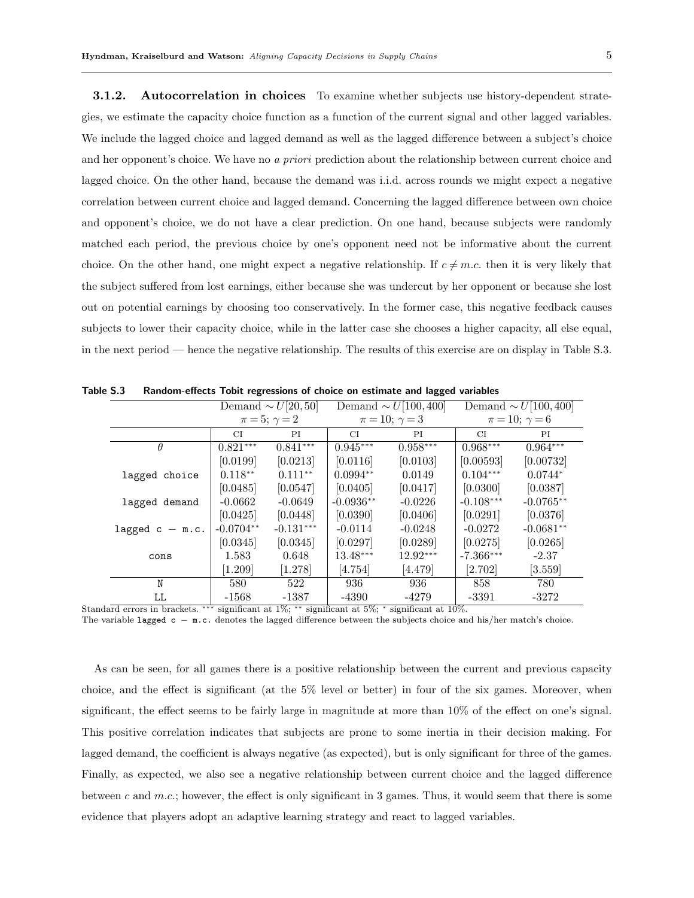**3.1.2.** Autocorrelation in choices To examine whether subjects use history-dependent strategies, we estimate the capacity choice function as a function of the current signal and other lagged variables. We include the lagged choice and lagged demand as well as the lagged difference between a subject's choice and her opponent's choice. We have no a priori prediction about the relationship between current choice and lagged choice. On the other hand, because the demand was i.i.d. across rounds we might expect a negative correlation between current choice and lagged demand. Concerning the lagged difference between own choice and opponent's choice, we do not have a clear prediction. On one hand, because subjects were randomly matched each period, the previous choice by one's opponent need not be informative about the current choice. On the other hand, one might expect a negative relationship. If  $c \neq m.c$  then it is very likely that the subject suffered from lost earnings, either because she was undercut by her opponent or because she lost out on potential earnings by choosing too conservatively. In the former case, this negative feedback causes subjects to lower their capacity choice, while in the latter case she chooses a higher capacity, all else equal, in the next period — hence the negative relationship. The results of this exercise are on display in Table S.3.

|                   | Demand $\sim U[20,50]$ |             | Demand $\sim U[100, 400]$ |            | Demand $\sim U[100, 400]$ |             |
|-------------------|------------------------|-------------|---------------------------|------------|---------------------------|-------------|
|                   | $\pi = 5; \gamma = 2$  |             | $\pi = 10; \gamma = 3$    |            | $\pi = 10; \gamma = 6$    |             |
|                   | CI.                    | PI          | СI                        | ΡI         | CI.                       | ΡI          |
| $\theta$          | $0.821***$             | $0.841***$  | $0.945***$                | $0.958***$ | $0.968***$                | $0.964***$  |
|                   | [0.0199]               | [0.0213]    | [0.0116]                  | [0.0103]   | [0.00593]                 | [0.00732]   |
| lagged choice     | $0.118**$              | $0.111**$   | $0.0994**$                | 0.0149     | $0.104***$                | $0.0744*$   |
|                   | [0.0485]               | [0.0547]    | [0.0405]                  | [0.0417]   | [0.0300]                  | [0.0387]    |
| lagged demand     | $-0.0662$              | $-0.0649$   | $-0.0936**$               | $-0.0226$  | $-0.108***$               | $-0.0765**$ |
|                   | [0.0425]               | [0.0448]    | [0.0390]                  | [0.0406]   | [0.0291]                  | [0.0376]    |
| lagged $c - m.c.$ | $-0.0704**$            | $-0.131***$ | $-0.0114$                 | $-0.0248$  | $-0.0272$                 | $-0.0681**$ |
|                   | [0.0345]               | [0.0345]    | [0.0297]                  | [0.0289]   | [0.0275]                  | [0.0265]    |
| cons              | 1.583                  | 0.648       | 13.48***                  | $12.92***$ | $-7.366***$               | $-2.37$     |
|                   | [1.209]                | [1.278]     | 4.754                     | [4.479]    | [2.702]                   | [3.559]     |
| N                 | 580                    | 522         | 936                       | 936        | 858                       | 780         |
| LL                | $-1568$                | $-1387$     | -4390                     | -4279      | $-3391$                   | $-3272$     |

Table S.3 Random-effects Tobit regressions of choice on estimate and lagged variables

Standard errors in brackets. ∗∗∗ significant at 1%; ∗∗ significant at 5%; <sup>∗</sup> significant at 10%.

The variable lagged c – m.c. denotes the lagged difference between the subjects choice and his/her match's choice.

As can be seen, for all games there is a positive relationship between the current and previous capacity choice, and the effect is significant (at the 5% level or better) in four of the six games. Moreover, when significant, the effect seems to be fairly large in magnitude at more than 10% of the effect on one's signal. This positive correlation indicates that subjects are prone to some inertia in their decision making. For lagged demand, the coefficient is always negative (as expected), but is only significant for three of the games. Finally, as expected, we also see a negative relationship between current choice and the lagged difference between c and  $m.c.$ ; however, the effect is only significant in 3 games. Thus, it would seem that there is some evidence that players adopt an adaptive learning strategy and react to lagged variables.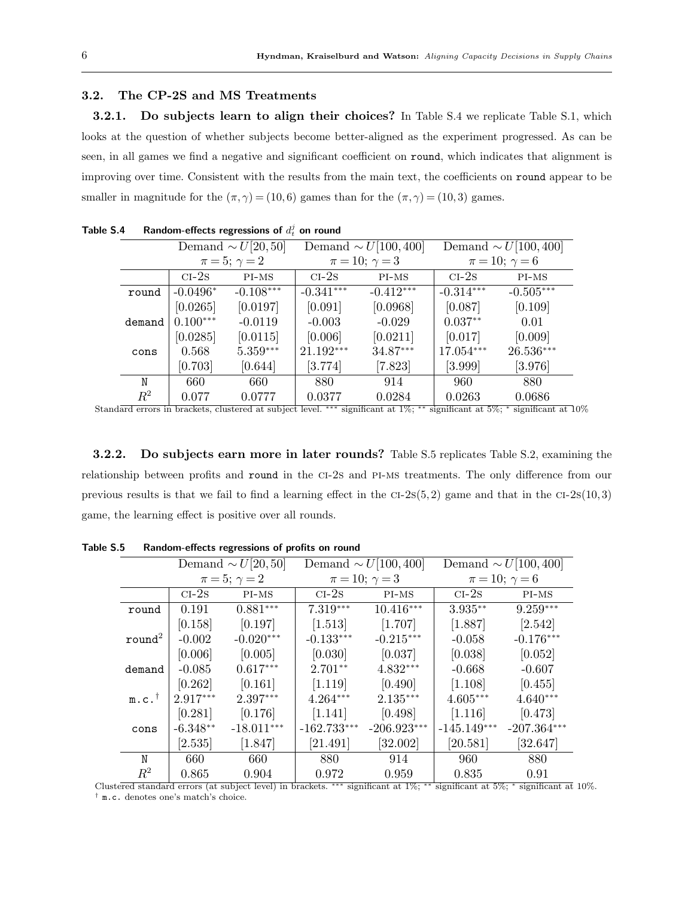## 3.2. The CP-2S and MS Treatments

3.2.1. Do subjects learn to align their choices? In Table S.4 we replicate Table S.1, which looks at the question of whether subjects become better-aligned as the experiment progressed. As can be seen, in all games we find a negative and significant coefficient on round, which indicates that alignment is improving over time. Consistent with the results from the main text, the coefficients on round appear to be smaller in magnitude for the  $(\pi, \gamma) = (10, 6)$  games than for the  $(\pi, \gamma) = (10, 3)$  games.

|         | Demand $\sim U[20,50]$ |             |                        | Demand $\sim U[100, 400]$ | Demand $\sim U[100, 400]$ |             |  |
|---------|------------------------|-------------|------------------------|---------------------------|---------------------------|-------------|--|
|         | $\pi = 5; \gamma = 2$  |             | $\pi = 10; \gamma = 3$ |                           | $\pi = 10; \gamma = 6$    |             |  |
|         | $CI-2s$                | $PI-MS$     | $CI-2s$                | $PI-MS$                   | $CI-2s$                   | $PI-MS$     |  |
| round   | $-0.0496*$             | $-0.108***$ | $-0.341***$            | $-0.412***$               | $-0.314***$               | $-0.505***$ |  |
|         | [0.0265]               | [0.0197]    | [0.091]                | [0.0968]                  | [0.087]                   | [0.109]     |  |
| demand  | $0.100***$             | $-0.0119$   | $-0.003$               | $-0.029$                  | $0.037**$                 | 0.01        |  |
|         | [0.0285]               | [0.0115]    | [0.006]                | [0.0211]                  | [0.017]                   | [0.009]     |  |
| cons    | 0.568                  | $5.359***$  | $21.192***$            | 34.87***                  | 17.054***                 | 26.536***   |  |
|         | [0.703]                | [0.644]     | [3.774]                | [7.823]                   | [3.999]                   | [3.976]     |  |
| N       | 660                    | 660         | 880                    | 914                       | 960                       | 880         |  |
| $\,R^2$ | 0.077                  | 0.0777      | 0.0377                 | 0.0284                    | 0.0263                    | 0.0686      |  |

Table S.4 Bandom-effects regressions of  $d_t^j$  on round

Standard errors in brackets, clustered at subject level. ∗∗∗ significant at 1%; ∗∗ significant at 5%; <sup>∗</sup> significant at 10%

3.2.2. Do subjects earn more in later rounds? Table S.5 replicates Table S.2, examining the relationship between profits and round in the ci-2s and pi-ms treatments. The only difference from our previous results is that we fail to find a learning effect in the  $CI-2S(5, 2)$  game and that in the  $CI-2S(10, 3)$ game, the learning effect is positive over all rounds.

|                    | Demand $\sim U[20,50]$ |              |               | Demand $\sim U[100, 400]$ | Demand $\sim U[100, 400]$ |               |  |
|--------------------|------------------------|--------------|---------------|---------------------------|---------------------------|---------------|--|
|                    | $\pi = 5; \gamma = 2$  |              |               | $\pi = 10; \gamma = 3$    | $\pi = 10; \gamma = 6$    |               |  |
|                    | $CI-2s$                | PI-MS        | $CI-2s$       | PI-MS                     | $CI-2S$                   | PI-MS         |  |
| round              | 0.191                  | $0.881***$   | $7.319***$    | $10.416***$               | $3.935**$                 | $9.259***$    |  |
|                    | [0.158]                | [0.197]      | [1.513]       | [1.707]                   | [1.887]                   | [2.542]       |  |
| round <sup>2</sup> | $-0.002$               | $-0.020***$  | $-0.133***$   | $-0.215***$               | $-0.058$                  | $-0.176***$   |  |
|                    | [0.006]                | [0.005]      | [0.030]       | [0.037]                   | [0.038]                   | [0.052]       |  |
| demand             | $-0.085$               | $0.617***$   | $2.701**$     | $4.832***$                | $-0.668$                  | $-0.607$      |  |
|                    | [0.262]                | [0.161]      | [1.119]       | [0.490]                   | [1.108]                   | [0.455]       |  |
| $m.c.^{\dagger}$   | $2.917***$             | $2.397***$   | $4.264***$    | $2.135***$                | $4.605***$                | $4.640***$    |  |
|                    | [0.281]                | [0.176]      | [1.141]       | [0.498]                   | [1.116]                   | [0.473]       |  |
| cons               | $-6.348**$             | $-18.011***$ | $-162.733***$ | $-206.923***$             | $-145.149***$             | $-207.364***$ |  |
|                    | $\left[ 2.535\right]$  | [1.847]      | [21.491]      | [32.002]                  | [20.581]                  | [32.647]      |  |
| N                  | 660                    | 660          | 880           | 914                       | 960                       | 880           |  |
| $R^2$              | 0.865                  | 0.904        | 0.972         | 0.959                     | 0.835                     | 0.91          |  |

Table S.5 Random-effects regressions of profits on round

Clustered standard errors (at subject level) in brackets. ∗∗∗ significant at 1%; ∗∗ significant at 5%; <sup>∗</sup> significant at 10%. † m.c. denotes one's match's choice.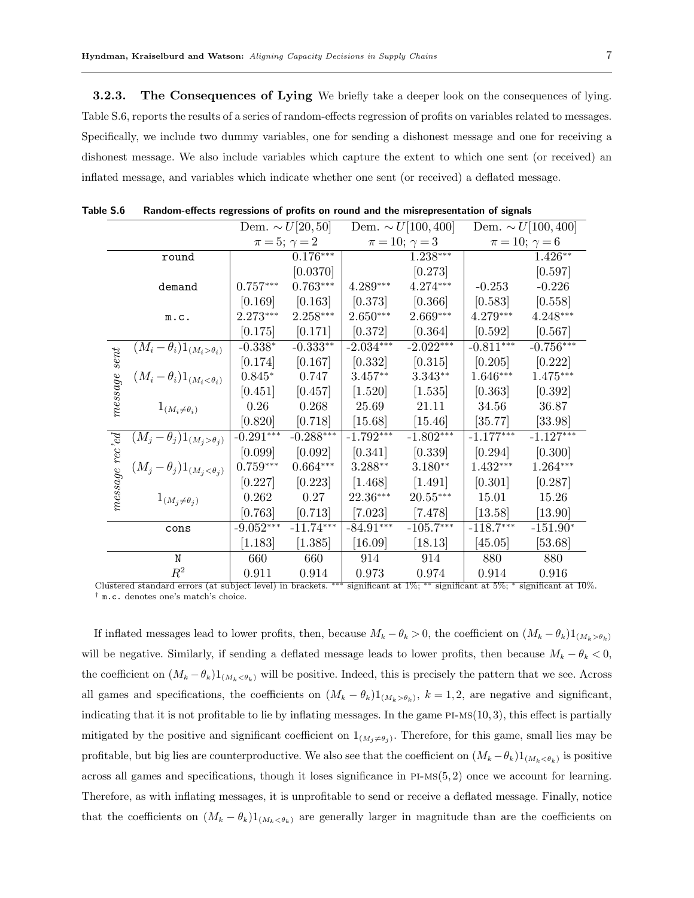**3.2.3.** The Consequences of Lying We briefly take a deeper look on the consequences of lying. Table S.6, reports the results of a series of random-effects regression of profits on variables related to messages. Specifically, we include two dummy variables, one for sending a dishonest message and one for receiving a dishonest message. We also include variables which capture the extent to which one sent (or received) an inflated message, and variables which indicate whether one sent (or received) a deflated message.

|                 |                                                                                                                                               | Dem. $\sim U[20, 50]$ |             | Dem. $\sim U[100, 400]$ |                         | Dem. $\sim U[100, 400]$ |                        |
|-----------------|-----------------------------------------------------------------------------------------------------------------------------------------------|-----------------------|-------------|-------------------------|-------------------------|-------------------------|------------------------|
|                 |                                                                                                                                               | $\pi = 5; \gamma = 2$ |             | $\pi = 10; \gamma = 3$  |                         |                         | $\pi = 10; \gamma = 6$ |
|                 | round                                                                                                                                         |                       | $0.176***$  |                         | $1.238***$              |                         | $1.426**$              |
|                 |                                                                                                                                               |                       | [0.0370]    |                         | [0.273]                 |                         | [0.597]                |
|                 | demand                                                                                                                                        | $0.757***$            | $0.763***$  | $4.289***$              | $4.274***$              | $-0.253$                | $-0.226$               |
|                 |                                                                                                                                               | [0.169]               | [0.163]     | [0.373]                 | [0.366]                 | [0.583]                 | [0.558]                |
|                 | m.c.                                                                                                                                          | 2.273***              | $2.258***$  | $2.650***$              | $2.669***$              | $4.279***$              | $4.248***$             |
|                 |                                                                                                                                               | [0.175]               | [0.171]     | [0.372]                 | [0.364]                 | [0.592]                 | [0.567]                |
|                 | $\overline{(M_i - \theta_i)1_{(M_i > \theta_i)}}$                                                                                             | $-0.338^{\ast}$       | $-0.333**$  | $-2.034***$             | $-2.022***$             | $-0.811***$             | $-0.756***$            |
|                 |                                                                                                                                               | [0.174]               | [0.167]     | [0.332]                 | [0.315]                 | [0.205]                 | [0.222]                |
| $message\ sent$ | $(M_i - \theta_i)1_{(M_i < \theta_i)}$                                                                                                        | $0.845*$              | 0.747       | $3.457**$               | $3.343**$               | $1.646***$              | $1.475***$             |
|                 |                                                                                                                                               | [0.451]               | [0.457]     | [1.520]                 | [1.535]                 | [0.363]                 | [0.392]                |
|                 | $1_{(M_i \neq \theta_i)}$                                                                                                                     | 0.26                  | 0.268       | 25.69                   | 21.11                   | 34.56                   | 36.87                  |
|                 |                                                                                                                                               | [0.820]               | [0.718]     | [15.68]                 | [15.46]                 | [35.77]                 | [33.98]                |
|                 | $(M_j - \theta_j)1_{(M_j > \theta_j)}$                                                                                                        | $-0.291***$           | $-0.288***$ | $-1.792***$             | $-1.802***$             | $-1.177***$             | $-1.127***$            |
| message rec'ed  |                                                                                                                                               | [0.099]               | [0.092]     | [0.341]                 | [0.339]                 | [0.294]                 | [0.300]                |
|                 | $(M_j - \theta_j)1_{(M_j < \theta_j)}$                                                                                                        | $0.759***$            | $0.664***$  | $3.288**$               | $3.180**$               | $1.432***$              | $1.264***$             |
|                 |                                                                                                                                               | [0.227]               | [0.223]     | [1.468]                 | [1.491]                 | [0.301]                 | [0.287]                |
|                 | $1_{(M_j \neq \theta_j)}$                                                                                                                     | 0.262                 | 0.27        | 22.36***                | $20.55***$              | 15.01                   | 15.26                  |
|                 |                                                                                                                                               | [0.763]               | [0.713]     | $[7.023]$               | [7.478]                 | $[13.58]$               | [13.90]                |
|                 | cons                                                                                                                                          | $-9.052***$           | $-11.74***$ | $-84.91***$             | $-105.7^{\ast\ast\ast}$ | $-118.7***$             | $-151.90*$             |
|                 |                                                                                                                                               | [1.183]               | [1.385]     | $[16.09]$               | $[18.13]$               | [45.05]                 | [53.68]                |
|                 | N                                                                                                                                             | 660                   | 660         | 914                     | 914                     | 880                     | 880                    |
|                 | $\mathbb{R}^2$                                                                                                                                | 0.911                 | 0.914       | 0.973                   | 0.974                   | 0.914                   | 0.916                  |
|                 | $\frac{1}{2}$ ustered standard errors (at subject love)) in brackets *** significant at $1\%$ ** significant at $5\%$ * significant at $10\%$ |                       |             |                         |                         |                         |                        |

Table S.6 Random-effects regressions of profits on round and the misrepresentation of signals

Clustered standard errors (at subject level) in brackets. \*\*\* significant at 1%; significant at 10%. † m.c. denotes one's match's choice.

If inflated messages lead to lower profits, then, because  $M_k - \theta_k > 0$ , the coefficient on  $(M_k - \theta_k)1_{(M_k > \theta_k)}$ will be negative. Similarly, if sending a deflated message leads to lower profits, then because  $M_k - \theta_k < 0$ , the coefficient on  $(M_k - \theta_k)1_{(M_k < \theta_k)}$  will be positive. Indeed, this is precisely the pattern that we see. Across all games and specifications, the coefficients on  $(M_k - \theta_k)1_{(M_k > \theta_k)}$ ,  $k = 1, 2$ , are negative and significant, indicating that it is not profitable to lie by inflating messages. In the game  $PI-MS(10, 3)$ , this effect is partially mitigated by the positive and significant coefficient on  $1_{(M_i \neq \theta_i)}$ . Therefore, for this game, small lies may be profitable, but big lies are counterproductive. We also see that the coefficient on  $(M_k - \theta_k)1_{(M_k < \theta_k)}$  is positive across all games and specifications, though it loses significance in pi-ms(5, 2) once we account for learning. Therefore, as with inflating messages, it is unprofitable to send or receive a deflated message. Finally, notice that the coefficients on  $(M_k - \theta_k)1_{(M_k < \theta_k)}$  are generally larger in magnitude than are the coefficients on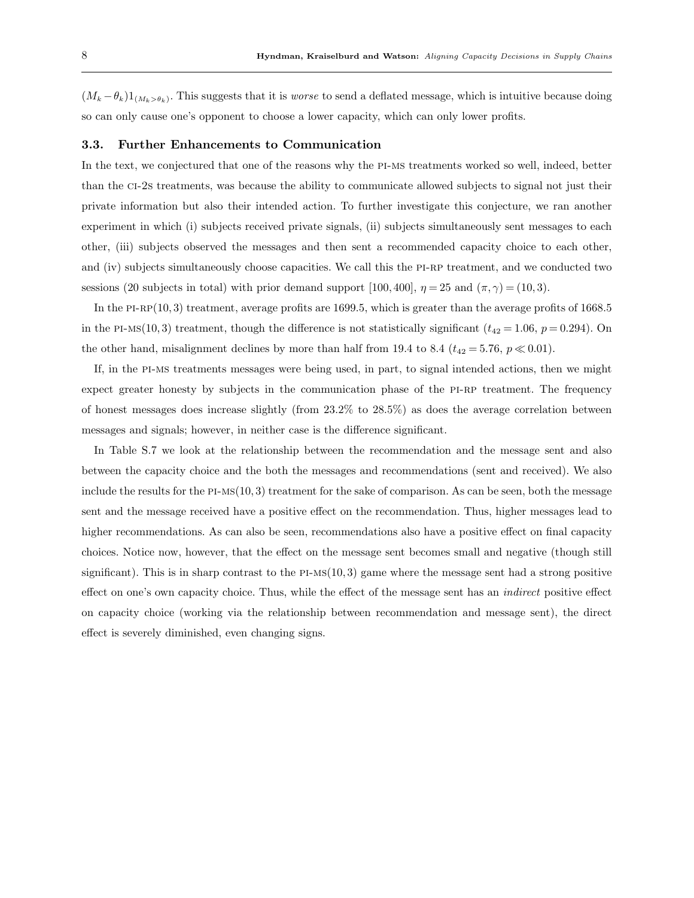$(M_k - \theta_k)1_{(M_k > \theta_k)}$ . This suggests that it is *worse* to send a deflated message, which is intuitive because doing so can only cause one's opponent to choose a lower capacity, which can only lower profits.

#### 3.3. Further Enhancements to Communication

In the text, we conjectured that one of the reasons why the pi-ms treatments worked so well, indeed, better than the ci-2s treatments, was because the ability to communicate allowed subjects to signal not just their private information but also their intended action. To further investigate this conjecture, we ran another experiment in which (i) subjects received private signals, (ii) subjects simultaneously sent messages to each other, (iii) subjects observed the messages and then sent a recommended capacity choice to each other, and (iv) subjects simultaneously choose capacities. We call this the PI-RP treatment, and we conducted two sessions (20 subjects in total) with prior demand support [100, 400],  $\eta = 25$  and  $(\pi, \gamma) = (10, 3)$ .

In the PI-RP(10, 3) treatment, average profits are 1699.5, which is greater than the average profits of  $1668.5$ in the PI-Ms(10, 3) treatment, though the difference is not statistically significant ( $t_{42} = 1.06$ ,  $p = 0.294$ ). On the other hand, misalignment declines by more than half from 19.4 to 8.4 ( $t_{42} = 5.76$ ,  $p \ll 0.01$ ).

If, in the pi-ms treatments messages were being used, in part, to signal intended actions, then we might expect greater honesty by subjects in the communication phase of the PI-RP treatment. The frequency of honest messages does increase slightly (from 23.2% to 28.5%) as does the average correlation between messages and signals; however, in neither case is the difference significant.

In Table S.7 we look at the relationship between the recommendation and the message sent and also between the capacity choice and the both the messages and recommendations (sent and received). We also include the results for the  $PI-MS(10, 3)$  treatment for the sake of comparison. As can be seen, both the message sent and the message received have a positive effect on the recommendation. Thus, higher messages lead to higher recommendations. As can also be seen, recommendations also have a positive effect on final capacity choices. Notice now, however, that the effect on the message sent becomes small and negative (though still significant). This is in sharp contrast to the  $PI-MS(10, 3)$  game where the message sent had a strong positive effect on one's own capacity choice. Thus, while the effect of the message sent has an indirect positive effect on capacity choice (working via the relationship between recommendation and message sent), the direct effect is severely diminished, even changing signs.